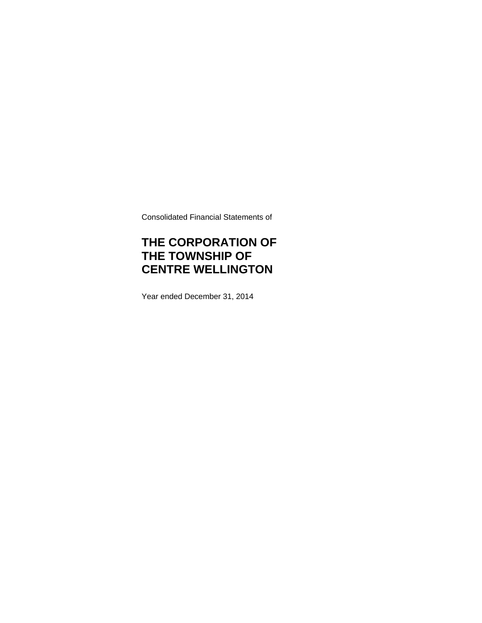Consolidated Financial Statements of

# **THE CORPORATION OF THE TOWNSHIP OF CENTRE WELLINGTON**

Year ended December 31, 2014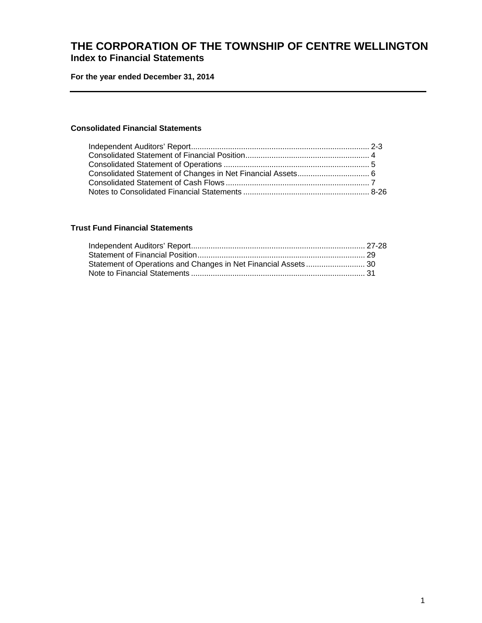## **THE CORPORATION OF THE TOWNSHIP OF CENTRE WELLINGTON Index to Financial Statements**

**For the year ended December 31, 2014** 

#### **Consolidated Financial Statements**

### **Trust Fund Financial Statements**

| Statement of Operations and Changes in Net Financial Assets 30 |  |
|----------------------------------------------------------------|--|
|                                                                |  |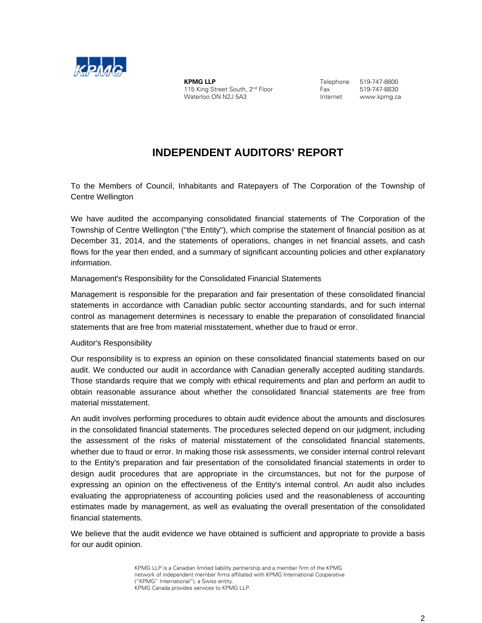

**KPMG LLP** Telephone 519-747-8800 115 King Street South, 2<sup>nd</sup> Floor Fax 519-747-8830 Waterloo ON N2J 5A3 **Internet** www.kpmg.ca

# **INDEPENDENT AUDITORS' REPORT**

To the Members of Council, Inhabitants and Ratepayers of The Corporation of the Township of Centre Wellington

We have audited the accompanying consolidated financial statements of The Corporation of the Township of Centre Wellington (''the Entity''), which comprise the statement of financial position as at December 31, 2014, and the statements of operations, changes in net financial assets, and cash flows for the year then ended, and a summary of significant accounting policies and other explanatory information.

#### Management's Responsibility for the Consolidated Financial Statements

Management is responsible for the preparation and fair presentation of these consolidated financial statements in accordance with Canadian public sector accounting standards, and for such internal control as management determines is necessary to enable the preparation of consolidated financial statements that are free from material misstatement, whether due to fraud or error.

#### Auditor's Responsibility

Our responsibility is to express an opinion on these consolidated financial statements based on our audit. We conducted our audit in accordance with Canadian generally accepted auditing standards. Those standards require that we comply with ethical requirements and plan and perform an audit to obtain reasonable assurance about whether the consolidated financial statements are free from material misstatement.

An audit involves performing procedures to obtain audit evidence about the amounts and disclosures in the consolidated financial statements. The procedures selected depend on our judgment, including the assessment of the risks of material misstatement of the consolidated financial statements, whether due to fraud or error. In making those risk assessments, we consider internal control relevant to the Entity's preparation and fair presentation of the consolidated financial statements in order to design audit procedures that are appropriate in the circumstances, but not for the purpose of expressing an opinion on the effectiveness of the Entity's internal control. An audit also includes evaluating the appropriateness of accounting policies used and the reasonableness of accounting estimates made by management, as well as evaluating the overall presentation of the consolidated financial statements.

We believe that the audit evidence we have obtained is sufficient and appropriate to provide a basis for our audit opinion.

> KPMG LLP is a Canadian limited liability partnership and a member firm of the KPMG network of independent member firms affiliated with KPMG International Cooperative ("KPMG" International"), a Swiss entity. KPMG Canada provides services to KPMG LLP.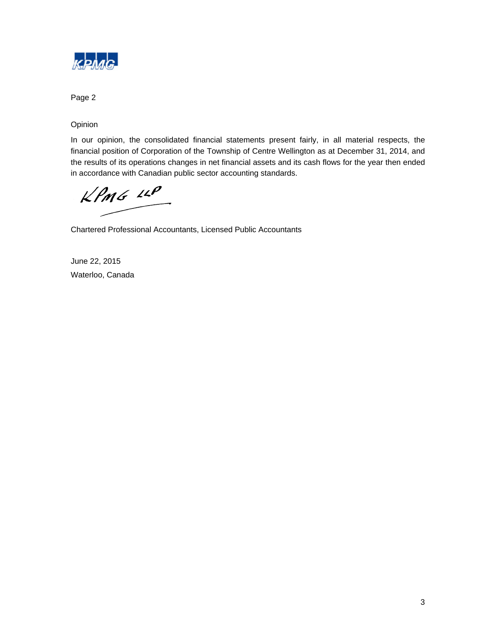

### Page 2

Opinion

In our opinion, the consolidated financial statements present fairly, in all material respects, the financial position of Corporation of the Township of Centre Wellington as at December 31, 2014, and the results of its operations changes in net financial assets and its cash flows for the year then ended in accordance with Canadian public sector accounting standards.

 $KPMG$  11P

Chartered Professional Accountants, Licensed Public Accountants

June 22, 2015 Waterloo, Canada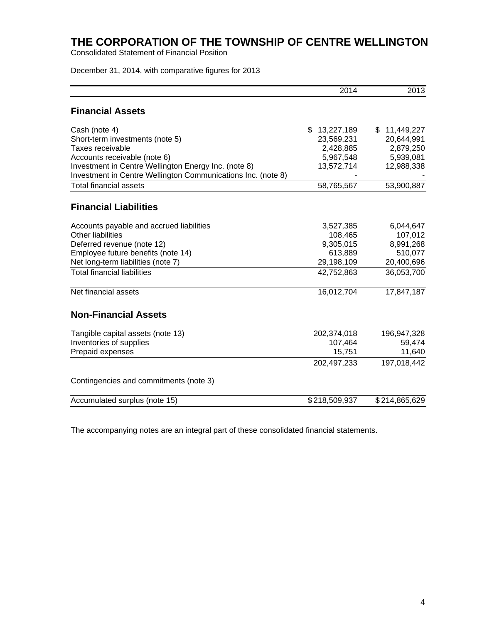Consolidated Statement of Financial Position

December 31, 2014, with comparative figures for 2013

|                                                              | 2014             | 2013             |
|--------------------------------------------------------------|------------------|------------------|
| <b>Financial Assets</b>                                      |                  |                  |
| Cash (note 4)                                                | 13,227,189<br>\$ | \$<br>11,449,227 |
| Short-term investments (note 5)                              | 23,569,231       | 20,644,991       |
| Taxes receivable                                             | 2,428,885        | 2,879,250        |
| Accounts receivable (note 6)                                 | 5,967,548        | 5,939,081        |
| Investment in Centre Wellington Energy Inc. (note 8)         | 13,572,714       | 12,988,338       |
| Investment in Centre Wellington Communications Inc. (note 8) |                  |                  |
| <b>Total financial assets</b>                                | 58,765,567       | 53,900,887       |
| <b>Financial Liabilities</b>                                 |                  |                  |
| Accounts payable and accrued liabilities                     | 3,527,385        | 6,044,647        |
| <b>Other liabilities</b>                                     | 108,465          | 107,012          |
| Deferred revenue (note 12)                                   | 9,305,015        | 8,991,268        |
| Employee future benefits (note 14)                           | 613,889          | 510,077          |
| Net long-term liabilities (note 7)                           | 29,198,109       | 20,400,696       |
| <b>Total financial liabilities</b>                           | 42,752,863       | 36,053,700       |
| Net financial assets                                         | 16,012,704       | 17,847,187       |
| <b>Non-Financial Assets</b>                                  |                  |                  |
| Tangible capital assets (note 13)                            | 202,374,018      | 196,947,328      |
| Inventories of supplies                                      | 107,464          | 59,474           |
| Prepaid expenses                                             | 15,751           | 11,640           |
|                                                              | 202,497,233      | 197,018,442      |
| Contingencies and commitments (note 3)                       |                  |                  |
| Accumulated surplus (note 15)                                | \$218,509,937    | \$214,865,629    |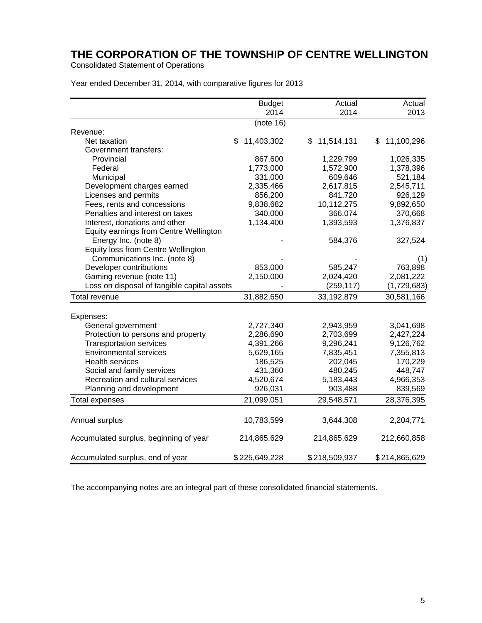Consolidated Statement of Operations

| Year ended December 31, 2014, with comparative figures for 2013 |  |  |  |  |  |  |
|-----------------------------------------------------------------|--|--|--|--|--|--|
|-----------------------------------------------------------------|--|--|--|--|--|--|

|                                             | <b>Budget</b>    | Actual           | Actual           |
|---------------------------------------------|------------------|------------------|------------------|
|                                             | 2014             | 2014             | 2013             |
|                                             | (note 16)        |                  |                  |
| Revenue:                                    |                  |                  |                  |
| Net taxation                                | 11,403,302<br>\$ | 11,514,131<br>\$ | 11,100,296<br>\$ |
| Government transfers:                       |                  |                  |                  |
| Provincial                                  | 867,600          | 1,229,799        | 1,026,335        |
| Federal                                     | 1,773,000        | 1,572,900        | 1,378,396        |
| Municipal                                   | 331,000          | 609,646          | 521,184          |
| Development charges earned                  | 2,335,466        | 2,617,815        | 2,545,711        |
| Licenses and permits                        | 856,200          | 841,720          | 926,129          |
| Fees, rents and concessions                 | 9,838,682        | 10,112,275       | 9,892,650        |
| Penalties and interest on taxes             | 340,000          | 366,074          | 370,668          |
| Interest, donations and other               | 1,134,400        | 1,393,593        | 1,376,837        |
| Equity earnings from Centre Wellington      |                  |                  |                  |
| Energy Inc. (note 8)                        |                  | 584,376          | 327,524          |
| Equity loss from Centre Wellington          |                  |                  |                  |
| Communications Inc. (note 8)                |                  |                  | (1)              |
| Developer contributions                     | 853,000          | 585,247          | 763,898          |
| Gaming revenue (note 11)                    | 2,150,000        | 2,024,420        | 2,081,222        |
| Loss on disposal of tangible capital assets |                  | (259, 117)       | (1,729,683)      |
| Total revenue                               | 31,882,650       | 33,192,879       | 30,581,166       |
|                                             |                  |                  |                  |
| Expenses:                                   |                  |                  |                  |
| General government                          | 2,727,340        | 2,943,959        | 3,041,698        |
| Protection to persons and property          | 2,286,690        | 2,703,699        | 2,427,224        |
| <b>Transportation services</b>              | 4,391,266        | 9,296,241        | 9,126,762        |
| <b>Environmental services</b>               | 5,629,165        | 7,835,451        | 7,355,813        |
| <b>Health services</b>                      | 186,525          | 202,045          | 170,229          |
| Social and family services                  | 431,360          | 480,245          | 448,747          |
| Recreation and cultural services            | 4,520,674        | 5,183,443        | 4,966,353        |
| Planning and development                    | 926,031          | 903,488          | 839,569          |
| <b>Total expenses</b>                       | 21,099,051       | 29,548,571       | 28,376,395       |
| Annual surplus                              | 10,783,599       | 3,644,308        | 2,204,771        |
| Accumulated surplus, beginning of year      | 214,865,629      | 214,865,629      | 212,660,858      |
| Accumulated surplus, end of year            | \$225,649,228    | \$218,509,937    | \$214,865,629    |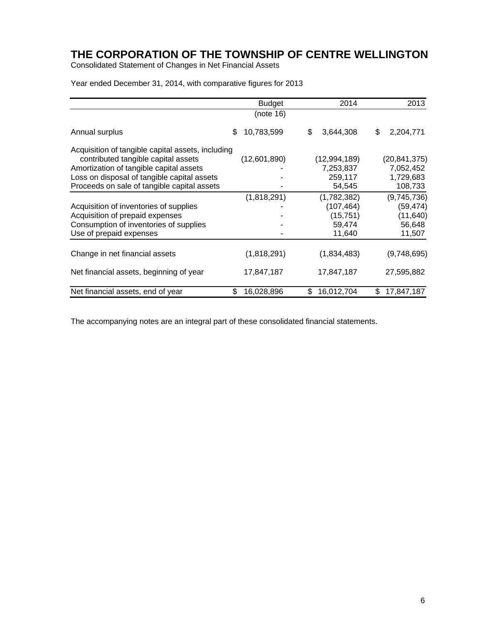Consolidated Statement of Changes in Net Financial Assets

Year ended December 31, 2014, with comparative figures for 2013

|                                                                                | <b>Budget</b>    | 2014                      | 2013                        |
|--------------------------------------------------------------------------------|------------------|---------------------------|-----------------------------|
|                                                                                | (note 16)        |                           |                             |
| Annual surplus                                                                 | \$<br>10,783,599 | \$<br>3,644,308           | \$<br>2,204,771             |
| Acquisition of tangible capital assets, including                              |                  |                           |                             |
| contributed tangible capital assets<br>Amortization of tangible capital assets | (12,601,890)     | (12,994,189)<br>7,253,837 | (20, 841, 375)<br>7,052,452 |
|                                                                                |                  |                           |                             |
| Loss on disposal of tangible capital assets                                    |                  | 259,117                   | 1,729,683                   |
| Proceeds on sale of tangible capital assets                                    |                  | 54,545                    | 108,733                     |
|                                                                                | (1,818,291)      | (1,782,382)               | (9,745,736)                 |
| Acquisition of inventories of supplies                                         |                  | (107, 464)                | (59, 474)                   |
| Acquisition of prepaid expenses                                                |                  | (15, 751)                 | (11, 640)                   |
| Consumption of inventories of supplies                                         |                  | 59,474                    | 56,648                      |
| Use of prepaid expenses                                                        |                  | 11,640                    | 11,507                      |
| Change in net financial assets                                                 | (1,818,291)      | (1,834,483)               | (9,748,695)                 |
| Net financial assets, beginning of year                                        | 17,847,187       | 17,847,187                | 27,595,882                  |
| Net financial assets, end of year                                              | \$<br>16,028,896 | \$<br>16,012,704          | \$<br>17,847,187            |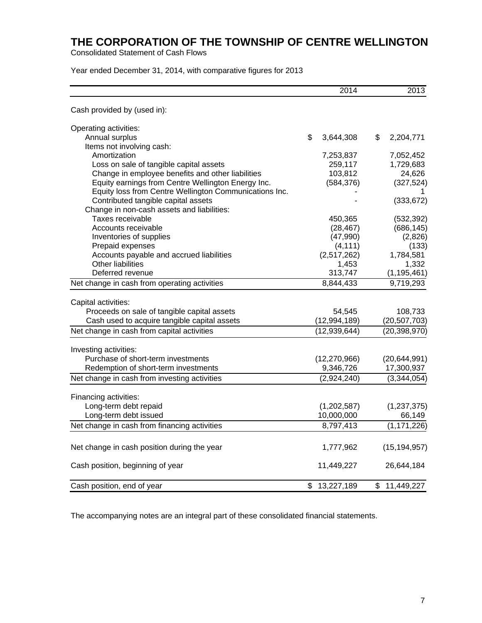Consolidated Statement of Cash Flows

Year ended December 31, 2014, with comparative figures for 2013

|                                                        | 2014             | 2013             |
|--------------------------------------------------------|------------------|------------------|
| Cash provided by (used in):                            |                  |                  |
| Operating activities:                                  |                  |                  |
| Annual surplus                                         | \$<br>3,644,308  | \$<br>2,204,771  |
| Items not involving cash:                              |                  |                  |
| Amortization                                           | 7,253,837        | 7,052,452        |
| Loss on sale of tangible capital assets                | 259,117          | 1,729,683        |
| Change in employee benefits and other liabilities      | 103,812          | 24,626           |
| Equity earnings from Centre Wellington Energy Inc.     | (584, 376)       | (327, 524)       |
| Equity loss from Centre Wellington Communications Inc. |                  |                  |
| Contributed tangible capital assets                    |                  | (333, 672)       |
| Change in non-cash assets and liabilities:             |                  |                  |
| Taxes receivable                                       | 450,365          | (532, 392)       |
| Accounts receivable                                    | (28, 467)        | (686, 145)       |
| Inventories of supplies                                | (47,990)         | (2,826)          |
| Prepaid expenses                                       | (4, 111)         | (133)            |
| Accounts payable and accrued liabilities               | (2,517,262)      | 1,784,581        |
| Other liabilities                                      | 1,453            | 1,332            |
| Deferred revenue                                       | 313,747          | (1, 195, 461)    |
| Net change in cash from operating activities           | 8,844,433        | 9,719,293        |
| Capital activities:                                    |                  |                  |
| Proceeds on sale of tangible capital assets            | 54,545           | 108,733          |
| Cash used to acquire tangible capital assets           | (12, 994, 189)   | (20, 507, 703)   |
| Net change in cash from capital activities             | (12, 939, 644)   | (20, 398, 970)   |
| Investing activities:                                  |                  |                  |
| Purchase of short-term investments                     | (12, 270, 966)   | (20, 644, 991)   |
| Redemption of short-term investments                   | 9,346,726        | 17,300,937       |
| Net change in cash from investing activities           | (2,924,240)      | (3,344,054)      |
|                                                        |                  |                  |
| Financing activities:                                  |                  |                  |
| Long-term debt repaid                                  | (1,202,587)      | (1, 237, 375)    |
| Long-term debt issued                                  | 10,000,000       | 66,149           |
| Net change in cash from financing activities           | 8,797,413        | (1, 171, 226)    |
| Net change in cash position during the year            | 1,777,962        | (15, 194, 957)   |
| Cash position, beginning of year                       | 11,449,227       | 26,644,184       |
| Cash position, end of year                             | \$<br>13,227,189 | \$<br>11,449,227 |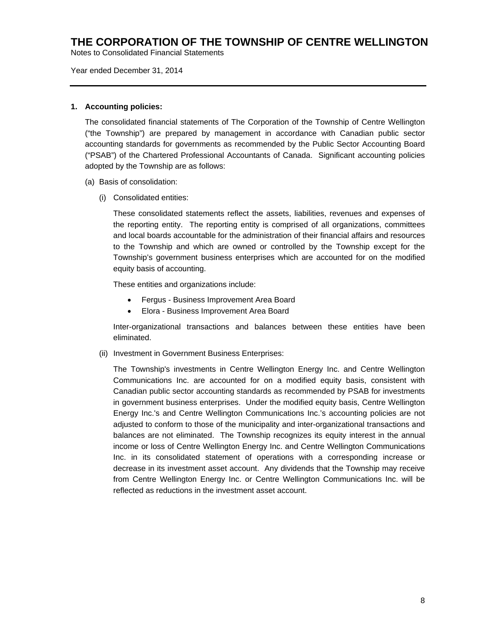Notes to Consolidated Financial Statements

Year ended December 31, 2014

#### **1. Accounting policies:**

The consolidated financial statements of The Corporation of the Township of Centre Wellington ("the Township") are prepared by management in accordance with Canadian public sector accounting standards for governments as recommended by the Public Sector Accounting Board ("PSAB") of the Chartered Professional Accountants of Canada. Significant accounting policies adopted by the Township are as follows:

- (a) Basis of consolidation:
	- (i) Consolidated entities:

These consolidated statements reflect the assets, liabilities, revenues and expenses of the reporting entity. The reporting entity is comprised of all organizations, committees and local boards accountable for the administration of their financial affairs and resources to the Township and which are owned or controlled by the Township except for the Township's government business enterprises which are accounted for on the modified equity basis of accounting.

These entities and organizations include:

- Fergus Business Improvement Area Board
- Elora Business Improvement Area Board

Inter-organizational transactions and balances between these entities have been eliminated.

(ii) Investment in Government Business Enterprises:

The Township's investments in Centre Wellington Energy Inc. and Centre Wellington Communications Inc. are accounted for on a modified equity basis, consistent with Canadian public sector accounting standards as recommended by PSAB for investments in government business enterprises. Under the modified equity basis, Centre Wellington Energy Inc.'s and Centre Wellington Communications Inc.'s accounting policies are not adjusted to conform to those of the municipality and inter-organizational transactions and balances are not eliminated. The Township recognizes its equity interest in the annual income or loss of Centre Wellington Energy Inc. and Centre Wellington Communications Inc. in its consolidated statement of operations with a corresponding increase or decrease in its investment asset account. Any dividends that the Township may receive from Centre Wellington Energy Inc. or Centre Wellington Communications Inc. will be reflected as reductions in the investment asset account.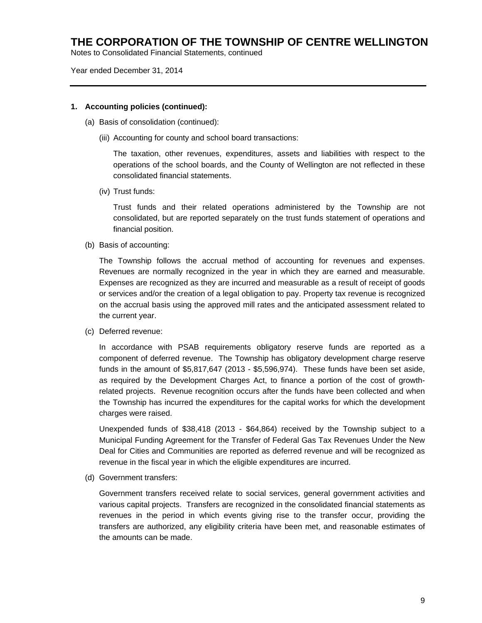Notes to Consolidated Financial Statements, continued

#### Year ended December 31, 2014

#### **1. Accounting policies (continued):**

- (a) Basis of consolidation (continued):
	- (iii) Accounting for county and school board transactions:

The taxation, other revenues, expenditures, assets and liabilities with respect to the operations of the school boards, and the County of Wellington are not reflected in these consolidated financial statements.

(iv) Trust funds:

Trust funds and their related operations administered by the Township are not consolidated, but are reported separately on the trust funds statement of operations and financial position.

(b) Basis of accounting:

The Township follows the accrual method of accounting for revenues and expenses. Revenues are normally recognized in the year in which they are earned and measurable. Expenses are recognized as they are incurred and measurable as a result of receipt of goods or services and/or the creation of a legal obligation to pay. Property tax revenue is recognized on the accrual basis using the approved mill rates and the anticipated assessment related to the current year.

(c) Deferred revenue:

In accordance with PSAB requirements obligatory reserve funds are reported as a component of deferred revenue. The Township has obligatory development charge reserve funds in the amount of \$5,817,647 (2013 - \$5,596,974). These funds have been set aside, as required by the Development Charges Act, to finance a portion of the cost of growthrelated projects. Revenue recognition occurs after the funds have been collected and when the Township has incurred the expenditures for the capital works for which the development charges were raised.

Unexpended funds of \$38,418 (2013 - \$64,864) received by the Township subject to a Municipal Funding Agreement for the Transfer of Federal Gas Tax Revenues Under the New Deal for Cities and Communities are reported as deferred revenue and will be recognized as revenue in the fiscal year in which the eligible expenditures are incurred.

(d) Government transfers:

Government transfers received relate to social services, general government activities and various capital projects. Transfers are recognized in the consolidated financial statements as revenues in the period in which events giving rise to the transfer occur, providing the transfers are authorized, any eligibility criteria have been met, and reasonable estimates of the amounts can be made.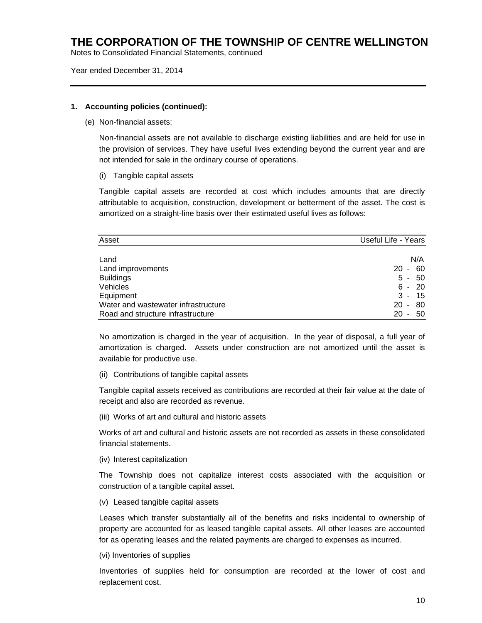Notes to Consolidated Financial Statements, continued

Year ended December 31, 2014

#### **1. Accounting policies (continued):**

(e) Non-financial assets:

Non-financial assets are not available to discharge existing liabilities and are held for use in the provision of services. They have useful lives extending beyond the current year and are not intended for sale in the ordinary course of operations.

(i) Tangible capital assets

Tangible capital assets are recorded at cost which includes amounts that are directly attributable to acquisition, construction, development or betterment of the asset. The cost is amortized on a straight-line basis over their estimated useful lives as follows:

| Asset                               | Useful Life - Years        |
|-------------------------------------|----------------------------|
|                                     |                            |
| Land                                | N/A                        |
| Land improvements                   | 60<br>20<br>$\blacksquare$ |
| <b>Buildings</b>                    | -50<br>5 -                 |
| Vehicles                            | - 20<br>6 -                |
| Equipment                           | $3 -$<br>15                |
| Water and wastewater infrastructure | 80<br>20<br>$\sim$         |
| Road and structure infrastructure   | 20<br>50<br>$\sim$         |

No amortization is charged in the year of acquisition. In the year of disposal, a full year of amortization is charged. Assets under construction are not amortized until the asset is available for productive use.

(ii) Contributions of tangible capital assets

Tangible capital assets received as contributions are recorded at their fair value at the date of receipt and also are recorded as revenue.

(iii) Works of art and cultural and historic assets

Works of art and cultural and historic assets are not recorded as assets in these consolidated financial statements.

(iv) Interest capitalization

The Township does not capitalize interest costs associated with the acquisition or construction of a tangible capital asset.

(v) Leased tangible capital assets

Leases which transfer substantially all of the benefits and risks incidental to ownership of property are accounted for as leased tangible capital assets. All other leases are accounted for as operating leases and the related payments are charged to expenses as incurred.

(vi) Inventories of supplies

Inventories of supplies held for consumption are recorded at the lower of cost and replacement cost.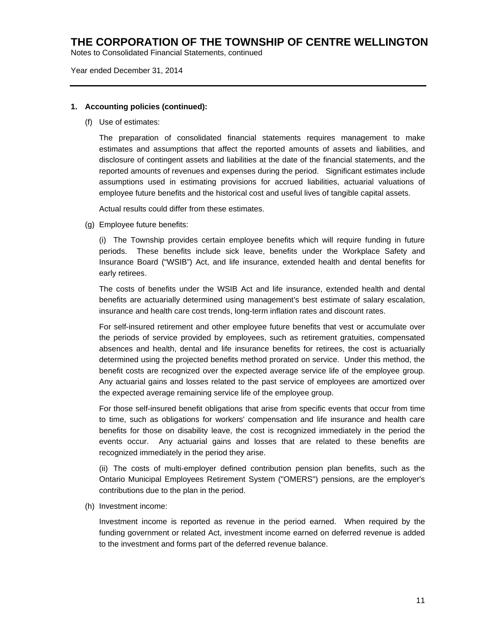Notes to Consolidated Financial Statements, continued

#### Year ended December 31, 2014

#### **1. Accounting policies (continued):**

(f) Use of estimates:

The preparation of consolidated financial statements requires management to make estimates and assumptions that affect the reported amounts of assets and liabilities, and disclosure of contingent assets and liabilities at the date of the financial statements, and the reported amounts of revenues and expenses during the period. Significant estimates include assumptions used in estimating provisions for accrued liabilities, actuarial valuations of employee future benefits and the historical cost and useful lives of tangible capital assets.

Actual results could differ from these estimates.

(g) Employee future benefits:

(i) The Township provides certain employee benefits which will require funding in future periods. These benefits include sick leave, benefits under the Workplace Safety and Insurance Board ("WSIB") Act, and life insurance, extended health and dental benefits for early retirees.

The costs of benefits under the WSIB Act and life insurance, extended health and dental benefits are actuarially determined using management's best estimate of salary escalation, insurance and health care cost trends, long-term inflation rates and discount rates.

For self-insured retirement and other employee future benefits that vest or accumulate over the periods of service provided by employees, such as retirement gratuities, compensated absences and health, dental and life insurance benefits for retirees, the cost is actuarially determined using the projected benefits method prorated on service. Under this method, the benefit costs are recognized over the expected average service life of the employee group. Any actuarial gains and losses related to the past service of employees are amortized over the expected average remaining service life of the employee group.

For those self-insured benefit obligations that arise from specific events that occur from time to time, such as obligations for workers' compensation and life insurance and health care benefits for those on disability leave, the cost is recognized immediately in the period the events occur. Any actuarial gains and losses that are related to these benefits are recognized immediately in the period they arise.

(ii) The costs of multi-employer defined contribution pension plan benefits, such as the Ontario Municipal Employees Retirement System ("OMERS") pensions, are the employer's contributions due to the plan in the period.

(h) Investment income:

Investment income is reported as revenue in the period earned. When required by the funding government or related Act, investment income earned on deferred revenue is added to the investment and forms part of the deferred revenue balance.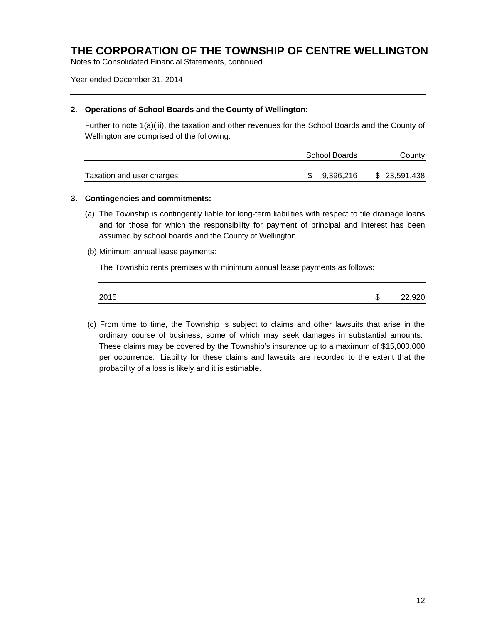Notes to Consolidated Financial Statements, continued

Year ended December 31, 2014

#### **2. Operations of School Boards and the County of Wellington:**

Further to note 1(a)(iii), the taxation and other revenues for the School Boards and the County of Wellington are comprised of the following:

| School Boards | County       |  |
|---------------|--------------|--|
| \$ 9,396,216  | \$23,591,438 |  |
|               |              |  |

#### **3. Contingencies and commitments:**

- (a) The Township is contingently liable for long-term liabilities with respect to tile drainage loans and for those for which the responsibility for payment of principal and interest has been assumed by school boards and the County of Wellington.
- (b) Minimum annual lease payments:

The Township rents premises with minimum annual lease payments as follows:

 (c) From time to time, the Township is subject to claims and other lawsuits that arise in the ordinary course of business, some of which may seek damages in substantial amounts. These claims may be covered by the Township's insurance up to a maximum of \$15,000,000 per occurrence. Liability for these claims and lawsuits are recorded to the extent that the probability of a loss is likely and it is estimable.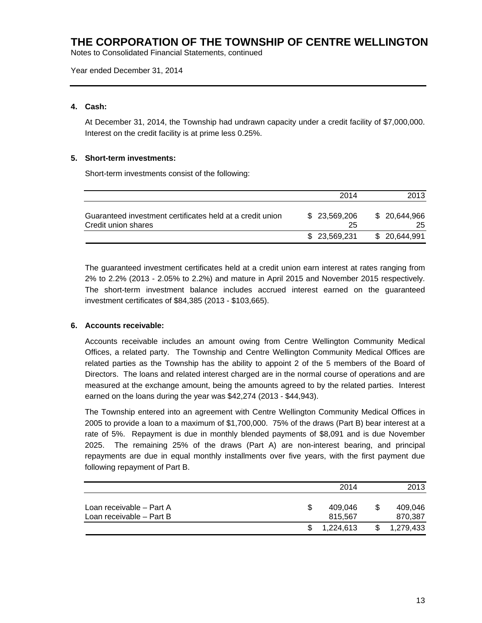Notes to Consolidated Financial Statements, continued

Year ended December 31, 2014

#### **4. Cash:**

At December 31, 2014, the Township had undrawn capacity under a credit facility of \$7,000,000. Interest on the credit facility is at prime less 0.25%.

#### **5. Short-term investments:**

Short-term investments consist of the following:

|                                                                                  | 2014               | 2013                |
|----------------------------------------------------------------------------------|--------------------|---------------------|
| Guaranteed investment certificates held at a credit union<br>Credit union shares | \$23,569,206<br>25 | \$ 20.644.966<br>25 |
|                                                                                  | \$23,569,231       | \$ 20,644,991       |

The guaranteed investment certificates held at a credit union earn interest at rates ranging from 2% to 2.2% (2013 - 2.05% to 2.2%) and mature in April 2015 and November 2015 respectively. The short-term investment balance includes accrued interest earned on the guaranteed investment certificates of \$84,385 (2013 - \$103,665).

#### **6. Accounts receivable:**

Accounts receivable includes an amount owing from Centre Wellington Community Medical Offices, a related party. The Township and Centre Wellington Community Medical Offices are related parties as the Township has the ability to appoint 2 of the 5 members of the Board of Directors. The loans and related interest charged are in the normal course of operations and are measured at the exchange amount, being the amounts agreed to by the related parties. Interest earned on the loans during the year was \$42,274 (2013 - \$44,943).

The Township entered into an agreement with Centre Wellington Community Medical Offices in 2005 to provide a loan to a maximum of \$1,700,000. 75% of the draws (Part B) bear interest at a rate of 5%. Repayment is due in monthly blended payments of \$8,091 and is due November 2025. The remaining 25% of the draws (Part A) are non-interest bearing, and principal repayments are due in equal monthly installments over five years, with the first payment due following repayment of Part B.

|                                                      |     | 2014               |   | 2013               |
|------------------------------------------------------|-----|--------------------|---|--------------------|
| Loan receivable – Part A<br>Loan receivable - Part B |     | 409.046<br>815,567 | S | 409.046<br>870,387 |
|                                                      | \$. | 1,224,613          |   | 1,279,433          |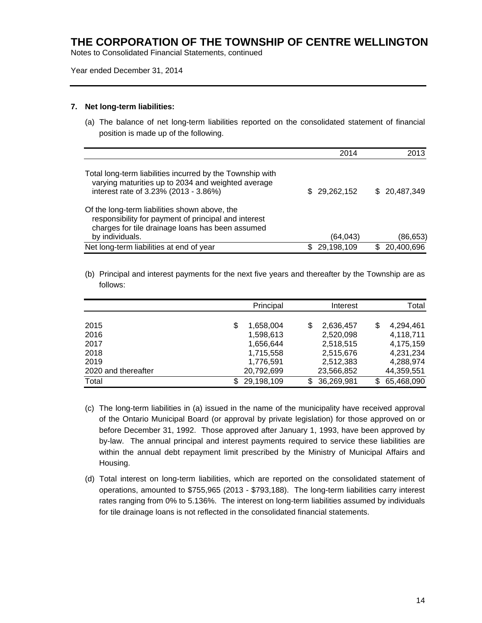Notes to Consolidated Financial Statements, continued

#### Year ended December 31, 2014

#### **7. Net long-term liabilities:**

(a) The balance of net long-term liabilities reported on the consolidated statement of financial position is made up of the following.

|                                                                                                                                                                              | 2014             | 2013              |
|------------------------------------------------------------------------------------------------------------------------------------------------------------------------------|------------------|-------------------|
| Total long-term liabilities incurred by the Township with<br>varying maturities up to 2034 and weighted average<br>interest rate of 3.23% (2013 - 3.86%)                     | 29,262,152<br>S. | \$ 20,487,349     |
| Of the long-term liabilities shown above, the<br>responsibility for payment of principal and interest<br>charges for tile drainage loans has been assumed<br>by individuals. | (64,043)         | (86,653)          |
| Net long-term liabilities at end of year                                                                                                                                     | 29,198,109       | 20,400,696<br>\$. |

(b) Principal and interest payments for the next five years and thereafter by the Township are as follows:

|                     | Principal       |    | Interest   |     | Total      |
|---------------------|-----------------|----|------------|-----|------------|
|                     |                 |    |            |     |            |
| 2015                | \$<br>1,658,004 | S  | 2,636,457  | \$  | 4,294,461  |
| 2016                | 1,598,613       |    | 2,520,098  |     | 4,118,711  |
| 2017                | 1,656,644       |    | 2,518,515  |     | 4,175,159  |
| 2018                | 1,715,558       |    | 2,515,676  |     | 4,231,234  |
| 2019                | 1,776,591       |    | 2,512,383  |     | 4,288,974  |
| 2020 and thereafter | 20,792,699      |    | 23,566,852 |     | 44,359,551 |
| Total               | 29,198,109      | S. | 36,269,981 | \$. | 65,468,090 |

- (c) The long-term liabilities in (a) issued in the name of the municipality have received approval of the Ontario Municipal Board (or approval by private legislation) for those approved on or before December 31, 1992. Those approved after January 1, 1993, have been approved by by-law. The annual principal and interest payments required to service these liabilities are within the annual debt repayment limit prescribed by the Ministry of Municipal Affairs and Housing.
- (d) Total interest on long-term liabilities, which are reported on the consolidated statement of operations, amounted to \$755,965 (2013 - \$793,188). The long-term liabilities carry interest rates ranging from 0% to 5.136%. The interest on long-term liabilities assumed by individuals for tile drainage loans is not reflected in the consolidated financial statements.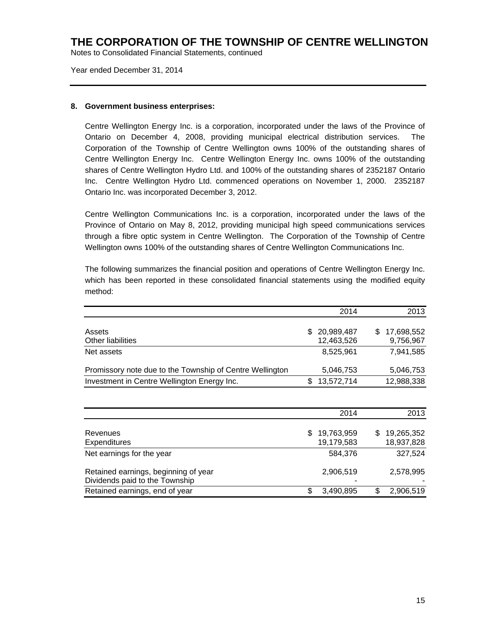Notes to Consolidated Financial Statements, continued

Year ended December 31, 2014

#### **8. Government business enterprises:**

Centre Wellington Energy Inc. is a corporation, incorporated under the laws of the Province of Ontario on December 4, 2008, providing municipal electrical distribution services. The Corporation of the Township of Centre Wellington owns 100% of the outstanding shares of Centre Wellington Energy Inc. Centre Wellington Energy Inc. owns 100% of the outstanding shares of Centre Wellington Hydro Ltd. and 100% of the outstanding shares of 2352187 Ontario Inc. Centre Wellington Hydro Ltd. commenced operations on November 1, 2000. 2352187 Ontario Inc. was incorporated December 3, 2012.

Centre Wellington Communications Inc. is a corporation, incorporated under the laws of the Province of Ontario on May 8, 2012, providing municipal high speed communications services through a fibre optic system in Centre Wellington. The Corporation of the Township of Centre Wellington owns 100% of the outstanding shares of Centre Wellington Communications Inc.

The following summarizes the financial position and operations of Centre Wellington Energy Inc. which has been reported in these consolidated financial statements using the modified equity method:

|                                                          | 2014                            | 2013                           |
|----------------------------------------------------------|---------------------------------|--------------------------------|
| Assets<br><b>Other liabilities</b>                       | 20,989,487<br>\$.<br>12,463,526 | 17,698,552<br>SS.<br>9,756,967 |
| Net assets                                               | 8.525.961                       | 7,941,585                      |
| Promissory note due to the Township of Centre Wellington | 5,046,753                       | 5,046,753                      |
| Investment in Centre Wellington Energy Inc.              | 13,572,714                      | 12,988,338                     |

|                                                                        | 2014             | 2013             |
|------------------------------------------------------------------------|------------------|------------------|
|                                                                        |                  |                  |
| Revenues                                                               | 19,763,959<br>S. | 19,265,352<br>S. |
| Expenditures                                                           | 19,179,583       | 18,937,828       |
| Net earnings for the year                                              | 584.376          | 327,524          |
| Retained earnings, beginning of year<br>Dividends paid to the Township | 2,906,519        | 2,578,995        |
| Retained earnings, end of year                                         | 3,490,895        | 2,906,519        |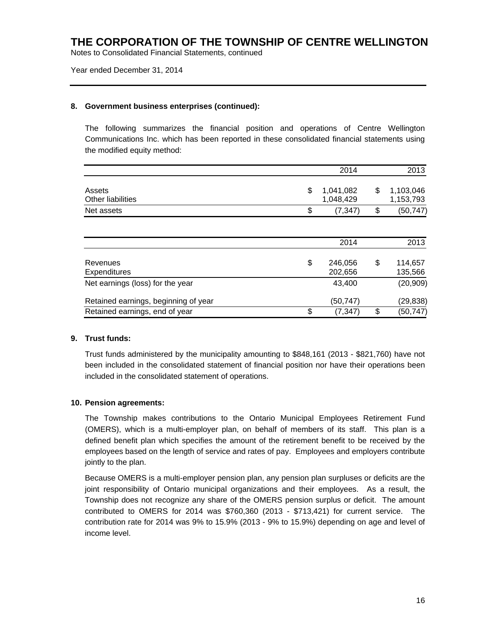Notes to Consolidated Financial Statements, continued

#### Year ended December 31, 2014

#### **8. Government business enterprises (continued):**

The following summarizes the financial position and operations of Centre Wellington Communications Inc. which has been reported in these consolidated financial statements using the modified equity method:

| 2014                         |          | 2013                   |
|------------------------------|----------|------------------------|
| \$<br>1,041,082<br>1,048,429 | \$       | 1,103,046<br>1,153,793 |
| \$<br>(7, 347)               | \$       | (50, 747)              |
|                              |          |                        |
| 2014                         |          | 2013                   |
| \$<br>246,056<br>202,656     | \$       | 114,657<br>135,566     |
| 43,400                       |          | (20, 909)              |
| (50,747)                     |          | (29,838)<br>(50, 747)  |
| \$                           | (7, 347) | \$                     |

#### **9. Trust funds:**

Trust funds administered by the municipality amounting to \$848,161 (2013 - \$821,760) have not been included in the consolidated statement of financial position nor have their operations been included in the consolidated statement of operations.

#### **10. Pension agreements:**

The Township makes contributions to the Ontario Municipal Employees Retirement Fund (OMERS), which is a multi-employer plan, on behalf of members of its staff. This plan is a defined benefit plan which specifies the amount of the retirement benefit to be received by the employees based on the length of service and rates of pay. Employees and employers contribute jointly to the plan.

Because OMERS is a multi-employer pension plan, any pension plan surpluses or deficits are the joint responsibility of Ontario municipal organizations and their employees. As a result, the Township does not recognize any share of the OMERS pension surplus or deficit. The amount contributed to OMERS for 2014 was \$760,360 (2013 - \$713,421) for current service. The contribution rate for 2014 was 9% to 15.9% (2013 - 9% to 15.9%) depending on age and level of income level.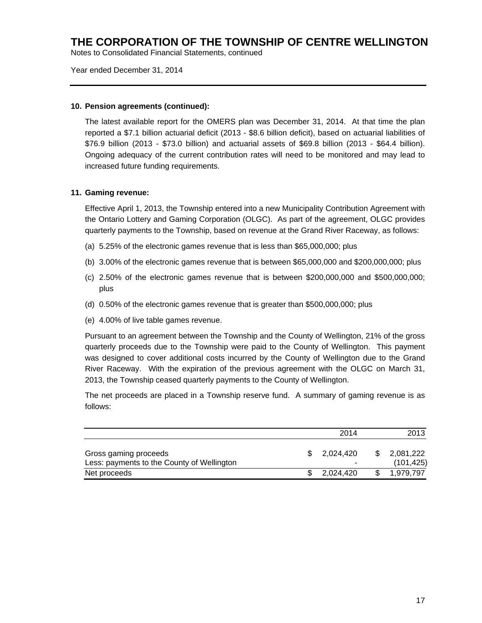Notes to Consolidated Financial Statements, continued

#### Year ended December 31, 2014

#### **10. Pension agreements (continued):**

The latest available report for the OMERS plan was December 31, 2014. At that time the plan reported a \$7.1 billion actuarial deficit (2013 - \$8.6 billion deficit), based on actuarial liabilities of \$76.9 billion (2013 - \$73.0 billion) and actuarial assets of \$69.8 billion (2013 - \$64.4 billion). Ongoing adequacy of the current contribution rates will need to be monitored and may lead to increased future funding requirements.

#### **11. Gaming revenue:**

Effective April 1, 2013, the Township entered into a new Municipality Contribution Agreement with the Ontario Lottery and Gaming Corporation (OLGC). As part of the agreement, OLGC provides quarterly payments to the Township, based on revenue at the Grand River Raceway, as follows:

- (a) 5.25% of the electronic games revenue that is less than \$65,000,000; plus
- (b) 3.00% of the electronic games revenue that is between \$65,000,000 and \$200,000,000; plus
- (c) 2.50% of the electronic games revenue that is between \$200,000,000 and \$500,000,000; plus
- (d) 0.50% of the electronic games revenue that is greater than \$500,000,000; plus
- (e) 4.00% of live table games revenue.

Pursuant to an agreement between the Township and the County of Wellington, 21% of the gross quarterly proceeds due to the Township were paid to the County of Wellington. This payment was designed to cover additional costs incurred by the County of Wellington due to the Grand River Raceway. With the expiration of the previous agreement with the OLGC on March 31, 2013, the Township ceased quarterly payments to the County of Wellington.

The net proceeds are placed in a Township reserve fund. A summary of gaming revenue is as follows:

|                                                                     | 2014      |     | 2013                    |
|---------------------------------------------------------------------|-----------|-----|-------------------------|
| Gross gaming proceeds<br>Less: payments to the County of Wellington | 2.024.420 |     | 2,081,222<br>(101, 425) |
| Net proceeds                                                        | 2,024,420 | \$. | 1.979.797               |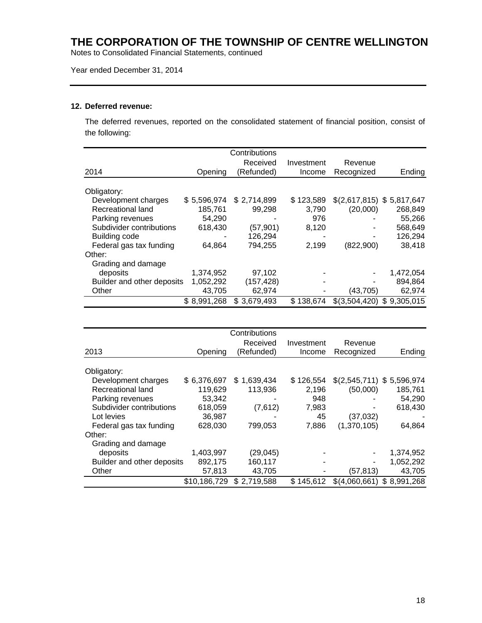Notes to Consolidated Financial Statements, continued

#### Year ended December 31, 2014

#### **12. Deferred revenue:**

The deferred revenues, reported on the consolidated statement of financial position, consist of the following:

|                            |             | Contributions |            |                             |           |
|----------------------------|-------------|---------------|------------|-----------------------------|-----------|
|                            |             | Received      | Investment | Revenue                     |           |
| 2014                       | Opening     | (Refunded)    | Income     | Recognized                  | Ending    |
| Obligatory:                |             |               |            |                             |           |
| Development charges        | \$5,596,974 | \$2,714,899   | \$123,589  | $$(2,617,815)$ \$ 5,817,647 |           |
| Recreational land          | 185,761     | 99.298        | 3.790      | (20,000)                    | 268,849   |
| Parking revenues           | 54,290      |               | 976        |                             | 55,266    |
| Subdivider contributions   | 618,430     | (57, 901)     | 8,120      |                             | 568,649   |
| Building code              |             | 126,294       |            |                             | 126,294   |
| Federal gas tax funding    | 64,864      | 794,255       | 2,199      | (822,900)                   | 38,418    |
| Other:                     |             |               |            |                             |           |
| Grading and damage         |             |               |            |                             |           |
| deposits                   | 1,374,952   | 97,102        |            |                             | 1,472,054 |
| Builder and other deposits | 1,052,292   | (157, 428)    |            |                             | 894,864   |
| Other                      | 43,705      | 62,974        |            | (43,705)                    | 62,974    |
|                            | \$8,991,268 | \$3,679,493   | \$138.674  | $$(3,504,420)$ \$ 9,305,015 |           |

|                            |              | Contributions |            |                             |           |
|----------------------------|--------------|---------------|------------|-----------------------------|-----------|
|                            |              | Received      | Investment | Revenue                     |           |
| 2013                       | Opening      | (Refunded)    | Income     | Recognized                  | Ending    |
|                            |              |               |            |                             |           |
| Obligatory:                |              |               |            |                             |           |
| Development charges        | \$6,376,697  | \$1,639,434   | \$126.554  | $$(2,545,711)$ \$ 5,596,974 |           |
| Recreational land          | 119,629      | 113,936       | 2,196      | (50,000)                    | 185,761   |
| Parking revenues           | 53,342       |               | 948        |                             | 54,290    |
| Subdivider contributions   | 618,059      | (7,612)       | 7,983      |                             | 618,430   |
| Lot levies                 | 36,987       |               | 45         | (37,032)                    |           |
| Federal gas tax funding    | 628,030      | 799,053       | 7,886      | (1,370,105)                 | 64,864    |
| Other:                     |              |               |            |                             |           |
| Grading and damage         |              |               |            |                             |           |
| deposits                   | 1,403,997    | (29, 045)     |            |                             | 1,374,952 |
| Builder and other deposits | 892,175      | 160,117       |            |                             | 1,052,292 |
| Other                      | 57,813       | 43,705        |            | (57,813)                    | 43,705    |
|                            | \$10,186,729 | \$2,719,588   | \$145,612  | $$(4,060,661)$ \$ 8,991,268 |           |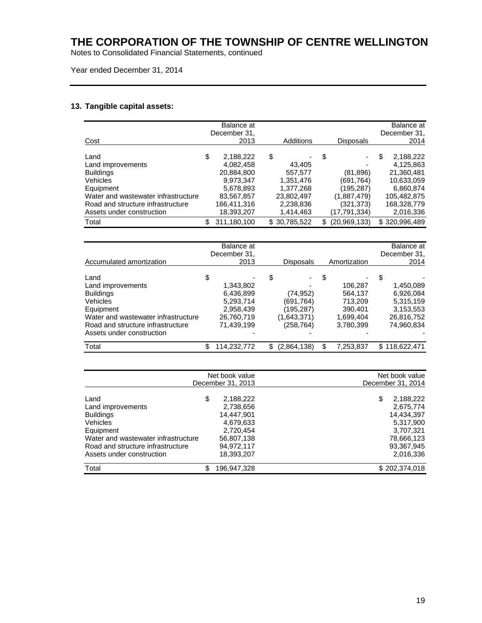Notes to Consolidated Financial Statements, continued

## Year ended December 31, 2014

## **13. Tangible capital assets:**

|                                                                                                                                                    | Balance at<br>December 31,                                                                        |                                                                              |                                                                          | Balance at<br>December 31,                                                                          |
|----------------------------------------------------------------------------------------------------------------------------------------------------|---------------------------------------------------------------------------------------------------|------------------------------------------------------------------------------|--------------------------------------------------------------------------|-----------------------------------------------------------------------------------------------------|
| Cost                                                                                                                                               | 2013                                                                                              | Additions                                                                    | Disposals                                                                | 2014                                                                                                |
| Land<br>Land improvements<br><b>Buildings</b><br>Vehicles<br>Equipment<br>Water and wastewater infrastructure<br>Road and structure infrastructure | \$<br>2,188,222<br>4,082,458<br>20,884,800<br>9,973,347<br>5,678,893<br>83,567,857<br>166,411,316 | \$<br>43,405<br>557,577<br>1,351,476<br>1,377,268<br>23,802,497<br>2,238,836 | \$<br>(81, 896)<br>(691, 764)<br>(195, 287)<br>(1,887,479)<br>(321, 373) | \$<br>2,188,222<br>4,125,863<br>21,360,481<br>10,633,059<br>6,860,874<br>105,482,875<br>168,328,779 |
| Assets under construction<br>Total                                                                                                                 | \$<br>18,393,207<br>311,180,100                                                                   | 1,414,463<br>\$30,785,522                                                    | \$<br>(17,791,334)<br>(20, 969, 133)                                     | 2,016,336<br>\$320,996,489                                                                          |
|                                                                                                                                                    |                                                                                                   |                                                                              |                                                                          |                                                                                                     |
| Accumulated amortization                                                                                                                           | Balance at<br>December 31,<br>2013                                                                | <b>Disposals</b>                                                             | Amortization                                                             | Balance at<br>December 31,<br>2014                                                                  |
| Land<br>Land improvements.                                                                                                                         | \$<br>1 343 802                                                                                   | \$                                                                           | 106 287                                                                  | \$<br>1 450 089                                                                                     |

| Land                                |             | c | ۰                        | \$ | ٠         |               |
|-------------------------------------|-------------|---|--------------------------|----|-----------|---------------|
| Land improvements                   | 1.343.802   |   | $\overline{\phantom{0}}$ |    | 106.287   | 1.450.089     |
| Buildings                           | 6,436,899   |   | (74,952)                 |    | 564,137   | 6,926,084     |
| <b>Vehicles</b>                     | 5,293,714   |   | (691, 764)               |    | 713.209   | 5,315,159     |
| Equipment                           | 2,958,439   |   | (195,287)                |    | 390,401   | 3,153,553     |
| Water and wastewater infrastructure | 26,760,719  |   | (1,643,371)              |    | 1,699,404 | 26,816,752    |
| Road and structure infrastructure   | 71.439.199  |   | (258, 764)               |    | 3,780,399 | 74,960,834    |
| Assets under construction           |             |   |                          |    |           |               |
| Total                               | 114.232.772 |   | (2,864,138)              | S  | 7,253,837 | \$118,622,471 |
|                                     |             |   |                          |    |           |               |

| Net book value<br>December 31, 2013 |    |             | Net book value<br>December 31, 2014 |
|-------------------------------------|----|-------------|-------------------------------------|
|                                     |    |             |                                     |
| Land                                | \$ | 2,188,222   | 2,188,222<br>\$                     |
| Land improvements                   |    | 2,738,656   | 2,675,774                           |
| <b>Buildings</b>                    |    | 14.447.901  | 14,434,397                          |
| <b>Vehicles</b>                     |    | 4,679,633   | 5,317,900                           |
| Equipment                           |    | 2,720,454   | 3,707,321                           |
| Water and wastewater infrastructure |    | 56,807,138  | 78,666,123                          |
| Road and structure infrastructure   |    | 94,972,117  | 93,367,945                          |
| Assets under construction           |    | 18,393,207  | 2,016,336                           |
| Total                               |    | 196,947,328 | \$202,374,018                       |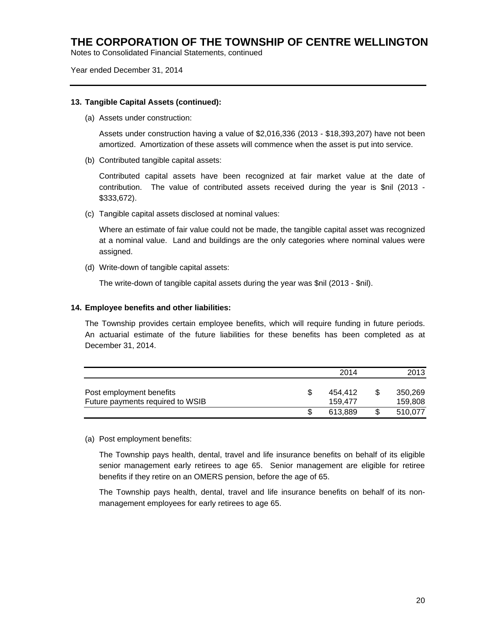Notes to Consolidated Financial Statements, continued

Year ended December 31, 2014

### **13. Tangible Capital Assets (continued):**

(a) Assets under construction:

Assets under construction having a value of \$2,016,336 (2013 - \$18,393,207) have not been amortized. Amortization of these assets will commence when the asset is put into service.

(b) Contributed tangible capital assets:

Contributed capital assets have been recognized at fair market value at the date of contribution. The value of contributed assets received during the year is \$nil (2013 - \$333,672).

(c) Tangible capital assets disclosed at nominal values:

Where an estimate of fair value could not be made, the tangible capital asset was recognized at a nominal value. Land and buildings are the only categories where nominal values were assigned.

(d) Write-down of tangible capital assets:

The write-down of tangible capital assets during the year was \$nil (2013 - \$nil).

#### **14. Employee benefits and other liabilities:**

The Township provides certain employee benefits, which will require funding in future periods. An actuarial estimate of the future liabilities for these benefits has been completed as at December 31, 2014.

|                                                              | 2014               |   | 2013               |
|--------------------------------------------------------------|--------------------|---|--------------------|
| Post employment benefits<br>Future payments required to WSIB | 454.412<br>159.477 | S | 350.269<br>159.808 |
|                                                              | 613.889            |   | 510.077            |

(a) Post employment benefits:

The Township pays health, dental, travel and life insurance benefits on behalf of its eligible senior management early retirees to age 65. Senior management are eligible for retiree benefits if they retire on an OMERS pension, before the age of 65.

The Township pays health, dental, travel and life insurance benefits on behalf of its nonmanagement employees for early retirees to age 65.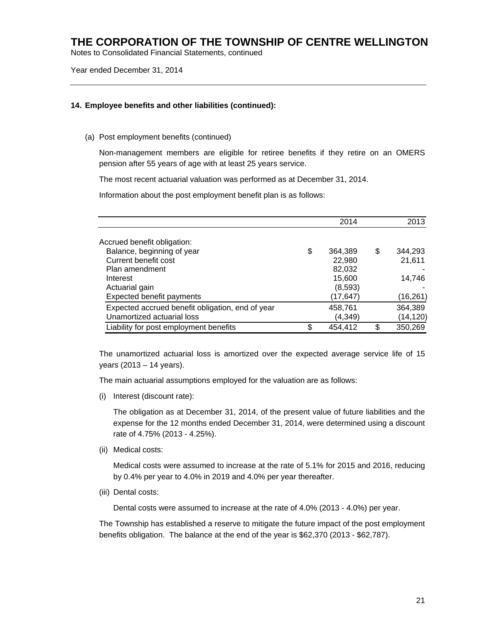Notes to Consolidated Financial Statements, continued

#### Year ended December 31, 2014

#### **14. Employee benefits and other liabilities (continued):**

(a) Post employment benefits (continued)

Non-management members are eligible for retiree benefits if they retire on an OMERS pension after 55 years of age with at least 25 years service.

The most recent actuarial valuation was performed as at December 31, 2014.

Information about the post employment benefit plan is as follows:

|                                                  | 2014          | 2013          |
|--------------------------------------------------|---------------|---------------|
| Accrued benefit obligation:                      |               |               |
| Balance, beginning of year                       | \$<br>364,389 | \$<br>344,293 |
| Current benefit cost                             | 22,980        | 21,611        |
| Plan amendment                                   | 82,032        |               |
| Interest                                         | 15,600        | 14,746        |
| Actuarial gain                                   | (8,593)       |               |
| Expected benefit payments                        | (17, 647)     | (16,261)      |
| Expected accrued benefit obligation, end of year | 458,761       | 364,389       |
| Unamortized actuarial loss                       | (4, 349)      | (14, 120)     |
| Liability for post employment benefits           | \$<br>454,412 | \$<br>350,269 |

The unamortized actuarial loss is amortized over the expected average service life of 15 years (2013 – 14 years).

The main actuarial assumptions employed for the valuation are as follows:

(i) Interest (discount rate):

The obligation as at December 31, 2014, of the present value of future liabilities and the expense for the 12 months ended December 31, 2014, were determined using a discount rate of 4.75% (2013 - 4.25%).

(ii) Medical costs:

Medical costs were assumed to increase at the rate of 5.1% for 2015 and 2016, reducing by 0.4% per year to 4.0% in 2019 and 4.0% per year thereafter.

(iii) Dental costs:

Dental costs were assumed to increase at the rate of 4.0% (2013 - 4.0%) per year.

The Township has established a reserve to mitigate the future impact of the post employment benefits obligation. The balance at the end of the year is \$62,370 (2013 - \$62,787).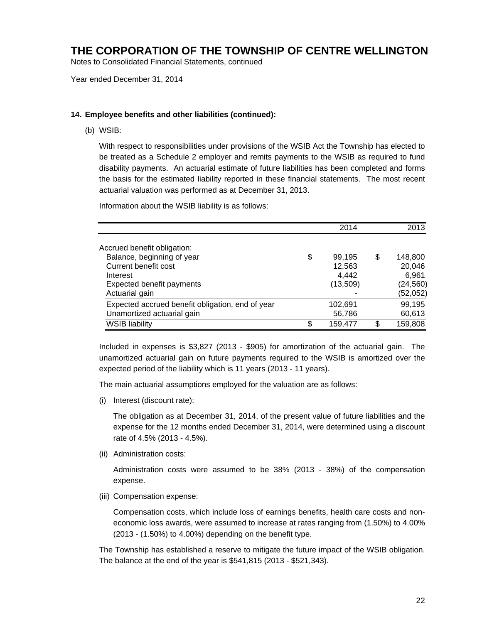Notes to Consolidated Financial Statements, continued

Year ended December 31, 2014

#### **14. Employee benefits and other liabilities (continued):**

(b) WSIB:

With respect to responsibilities under provisions of the WSIB Act the Township has elected to be treated as a Schedule 2 employer and remits payments to the WSIB as required to fund disability payments. An actuarial estimate of future liabilities has been completed and forms the basis for the estimated liability reported in these financial statements. The most recent actuarial valuation was performed as at December 31, 2013.

Information about the WSIB liability is as follows:

|                                                                                                                                              | 2014                                         |    | 2013                                                |
|----------------------------------------------------------------------------------------------------------------------------------------------|----------------------------------------------|----|-----------------------------------------------------|
| Accrued benefit obligation:<br>Balance, beginning of year<br>Current benefit cost<br>Interest<br>Expected benefit payments<br>Actuarial gain | \$<br>99.195<br>12,563<br>4.442<br>(13, 509) | \$ | 148,800<br>20,046<br>6,961<br>(24, 560)<br>(52,052) |
| Expected accrued benefit obligation, end of year<br>Unamortized actuarial gain                                                               | 102,691<br>56,786                            |    | 99,195<br>60,613                                    |
| <b>WSIB liability</b>                                                                                                                        | \$<br>159,477                                | S. | 159,808                                             |

Included in expenses is \$3,827 (2013 - \$905) for amortization of the actuarial gain. The unamortized actuarial gain on future payments required to the WSIB is amortized over the expected period of the liability which is 11 years (2013 - 11 years).

The main actuarial assumptions employed for the valuation are as follows:

(i) Interest (discount rate):

The obligation as at December 31, 2014, of the present value of future liabilities and the expense for the 12 months ended December 31, 2014, were determined using a discount rate of 4.5% (2013 - 4.5%).

(ii) Administration costs:

Administration costs were assumed to be 38% (2013 - 38%) of the compensation expense.

(iii) Compensation expense:

Compensation costs, which include loss of earnings benefits, health care costs and noneconomic loss awards, were assumed to increase at rates ranging from (1.50%) to 4.00% (2013 - (1.50%) to 4.00%) depending on the benefit type.

The Township has established a reserve to mitigate the future impact of the WSIB obligation. The balance at the end of the year is \$541,815 (2013 - \$521,343).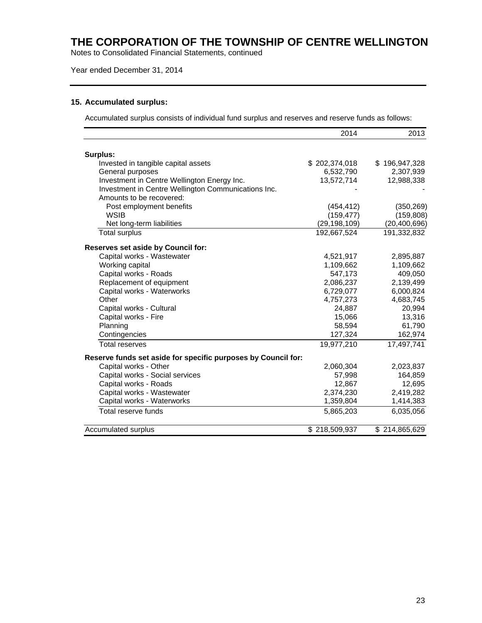Notes to Consolidated Financial Statements, continued

### Year ended December 31, 2014

#### **15. Accumulated surplus:**

Accumulated surplus consists of individual fund surplus and reserves and reserve funds as follows:

| <b>Surplus:</b><br>\$202,374,018<br>Invested in tangible capital assets<br>\$196,947,328<br>General purposes<br>6,532,790<br>2,307,939<br>Investment in Centre Wellington Energy Inc.<br>13,572,714<br>12,988,338<br>Investment in Centre Wellington Communications Inc.<br>Amounts to be recovered:<br>Post employment benefits<br>(454, 412)<br>(350, 269)<br><b>WSIB</b><br>(159, 477)<br>(159, 808)<br>Net long-term liabilities<br>(29, 198, 109)<br>(20, 400, 696)<br><b>Total surplus</b><br>192,667,524<br>191,332,832<br>Reserves set aside by Council for:<br>Capital works - Wastewater<br>4,521,917<br>2,895,887<br>Working capital<br>1,109,662<br>1,109,662<br>Capital works - Roads<br>547,173<br>409,050<br>Replacement of equipment<br>2,086,237<br>2,139,499<br>Capital works - Waterworks<br>6,729,077<br>6,000,824<br>4,683,745<br>Other<br>4,757,273<br>Capital works - Cultural<br>24,887<br>20,994<br>15,066<br>13,316<br>Capital works - Fire<br>Planning<br>58,594<br>61,790<br>Contingencies<br>127,324<br>162,974<br><b>Total reserves</b><br>19,977,210<br>17,497,741<br>Reserve funds set aside for specific purposes by Council for:<br>Capital works - Other<br>2,060,304<br>2,023,837<br>Capital works - Social services<br>57,998<br>164,859<br>Capital works - Roads<br>12,867<br>12,695<br>Capital works - Wastewater<br>2,374,230<br>2,419,282<br>Capital works - Waterworks<br>1,359,804<br>1,414,383<br>6,035,056<br>Total reserve funds<br>5,865,203 |                     | 2014          | 2013          |
|---------------------------------------------------------------------------------------------------------------------------------------------------------------------------------------------------------------------------------------------------------------------------------------------------------------------------------------------------------------------------------------------------------------------------------------------------------------------------------------------------------------------------------------------------------------------------------------------------------------------------------------------------------------------------------------------------------------------------------------------------------------------------------------------------------------------------------------------------------------------------------------------------------------------------------------------------------------------------------------------------------------------------------------------------------------------------------------------------------------------------------------------------------------------------------------------------------------------------------------------------------------------------------------------------------------------------------------------------------------------------------------------------------------------------------------------------------------------------------------------|---------------------|---------------|---------------|
|                                                                                                                                                                                                                                                                                                                                                                                                                                                                                                                                                                                                                                                                                                                                                                                                                                                                                                                                                                                                                                                                                                                                                                                                                                                                                                                                                                                                                                                                                             |                     |               |               |
|                                                                                                                                                                                                                                                                                                                                                                                                                                                                                                                                                                                                                                                                                                                                                                                                                                                                                                                                                                                                                                                                                                                                                                                                                                                                                                                                                                                                                                                                                             |                     |               |               |
|                                                                                                                                                                                                                                                                                                                                                                                                                                                                                                                                                                                                                                                                                                                                                                                                                                                                                                                                                                                                                                                                                                                                                                                                                                                                                                                                                                                                                                                                                             |                     |               |               |
|                                                                                                                                                                                                                                                                                                                                                                                                                                                                                                                                                                                                                                                                                                                                                                                                                                                                                                                                                                                                                                                                                                                                                                                                                                                                                                                                                                                                                                                                                             |                     |               |               |
|                                                                                                                                                                                                                                                                                                                                                                                                                                                                                                                                                                                                                                                                                                                                                                                                                                                                                                                                                                                                                                                                                                                                                                                                                                                                                                                                                                                                                                                                                             |                     |               |               |
|                                                                                                                                                                                                                                                                                                                                                                                                                                                                                                                                                                                                                                                                                                                                                                                                                                                                                                                                                                                                                                                                                                                                                                                                                                                                                                                                                                                                                                                                                             |                     |               |               |
|                                                                                                                                                                                                                                                                                                                                                                                                                                                                                                                                                                                                                                                                                                                                                                                                                                                                                                                                                                                                                                                                                                                                                                                                                                                                                                                                                                                                                                                                                             |                     |               |               |
|                                                                                                                                                                                                                                                                                                                                                                                                                                                                                                                                                                                                                                                                                                                                                                                                                                                                                                                                                                                                                                                                                                                                                                                                                                                                                                                                                                                                                                                                                             |                     |               |               |
|                                                                                                                                                                                                                                                                                                                                                                                                                                                                                                                                                                                                                                                                                                                                                                                                                                                                                                                                                                                                                                                                                                                                                                                                                                                                                                                                                                                                                                                                                             |                     |               |               |
|                                                                                                                                                                                                                                                                                                                                                                                                                                                                                                                                                                                                                                                                                                                                                                                                                                                                                                                                                                                                                                                                                                                                                                                                                                                                                                                                                                                                                                                                                             |                     |               |               |
|                                                                                                                                                                                                                                                                                                                                                                                                                                                                                                                                                                                                                                                                                                                                                                                                                                                                                                                                                                                                                                                                                                                                                                                                                                                                                                                                                                                                                                                                                             |                     |               |               |
|                                                                                                                                                                                                                                                                                                                                                                                                                                                                                                                                                                                                                                                                                                                                                                                                                                                                                                                                                                                                                                                                                                                                                                                                                                                                                                                                                                                                                                                                                             |                     |               |               |
|                                                                                                                                                                                                                                                                                                                                                                                                                                                                                                                                                                                                                                                                                                                                                                                                                                                                                                                                                                                                                                                                                                                                                                                                                                                                                                                                                                                                                                                                                             |                     |               |               |
|                                                                                                                                                                                                                                                                                                                                                                                                                                                                                                                                                                                                                                                                                                                                                                                                                                                                                                                                                                                                                                                                                                                                                                                                                                                                                                                                                                                                                                                                                             |                     |               |               |
|                                                                                                                                                                                                                                                                                                                                                                                                                                                                                                                                                                                                                                                                                                                                                                                                                                                                                                                                                                                                                                                                                                                                                                                                                                                                                                                                                                                                                                                                                             |                     |               |               |
|                                                                                                                                                                                                                                                                                                                                                                                                                                                                                                                                                                                                                                                                                                                                                                                                                                                                                                                                                                                                                                                                                                                                                                                                                                                                                                                                                                                                                                                                                             |                     |               |               |
|                                                                                                                                                                                                                                                                                                                                                                                                                                                                                                                                                                                                                                                                                                                                                                                                                                                                                                                                                                                                                                                                                                                                                                                                                                                                                                                                                                                                                                                                                             |                     |               |               |
|                                                                                                                                                                                                                                                                                                                                                                                                                                                                                                                                                                                                                                                                                                                                                                                                                                                                                                                                                                                                                                                                                                                                                                                                                                                                                                                                                                                                                                                                                             |                     |               |               |
|                                                                                                                                                                                                                                                                                                                                                                                                                                                                                                                                                                                                                                                                                                                                                                                                                                                                                                                                                                                                                                                                                                                                                                                                                                                                                                                                                                                                                                                                                             |                     |               |               |
|                                                                                                                                                                                                                                                                                                                                                                                                                                                                                                                                                                                                                                                                                                                                                                                                                                                                                                                                                                                                                                                                                                                                                                                                                                                                                                                                                                                                                                                                                             |                     |               |               |
|                                                                                                                                                                                                                                                                                                                                                                                                                                                                                                                                                                                                                                                                                                                                                                                                                                                                                                                                                                                                                                                                                                                                                                                                                                                                                                                                                                                                                                                                                             |                     |               |               |
|                                                                                                                                                                                                                                                                                                                                                                                                                                                                                                                                                                                                                                                                                                                                                                                                                                                                                                                                                                                                                                                                                                                                                                                                                                                                                                                                                                                                                                                                                             |                     |               |               |
|                                                                                                                                                                                                                                                                                                                                                                                                                                                                                                                                                                                                                                                                                                                                                                                                                                                                                                                                                                                                                                                                                                                                                                                                                                                                                                                                                                                                                                                                                             |                     |               |               |
|                                                                                                                                                                                                                                                                                                                                                                                                                                                                                                                                                                                                                                                                                                                                                                                                                                                                                                                                                                                                                                                                                                                                                                                                                                                                                                                                                                                                                                                                                             |                     |               |               |
|                                                                                                                                                                                                                                                                                                                                                                                                                                                                                                                                                                                                                                                                                                                                                                                                                                                                                                                                                                                                                                                                                                                                                                                                                                                                                                                                                                                                                                                                                             |                     |               |               |
|                                                                                                                                                                                                                                                                                                                                                                                                                                                                                                                                                                                                                                                                                                                                                                                                                                                                                                                                                                                                                                                                                                                                                                                                                                                                                                                                                                                                                                                                                             |                     |               |               |
|                                                                                                                                                                                                                                                                                                                                                                                                                                                                                                                                                                                                                                                                                                                                                                                                                                                                                                                                                                                                                                                                                                                                                                                                                                                                                                                                                                                                                                                                                             |                     |               |               |
|                                                                                                                                                                                                                                                                                                                                                                                                                                                                                                                                                                                                                                                                                                                                                                                                                                                                                                                                                                                                                                                                                                                                                                                                                                                                                                                                                                                                                                                                                             |                     |               |               |
|                                                                                                                                                                                                                                                                                                                                                                                                                                                                                                                                                                                                                                                                                                                                                                                                                                                                                                                                                                                                                                                                                                                                                                                                                                                                                                                                                                                                                                                                                             |                     |               |               |
|                                                                                                                                                                                                                                                                                                                                                                                                                                                                                                                                                                                                                                                                                                                                                                                                                                                                                                                                                                                                                                                                                                                                                                                                                                                                                                                                                                                                                                                                                             |                     |               |               |
|                                                                                                                                                                                                                                                                                                                                                                                                                                                                                                                                                                                                                                                                                                                                                                                                                                                                                                                                                                                                                                                                                                                                                                                                                                                                                                                                                                                                                                                                                             | Accumulated surplus | \$218,509,937 | \$214,865,629 |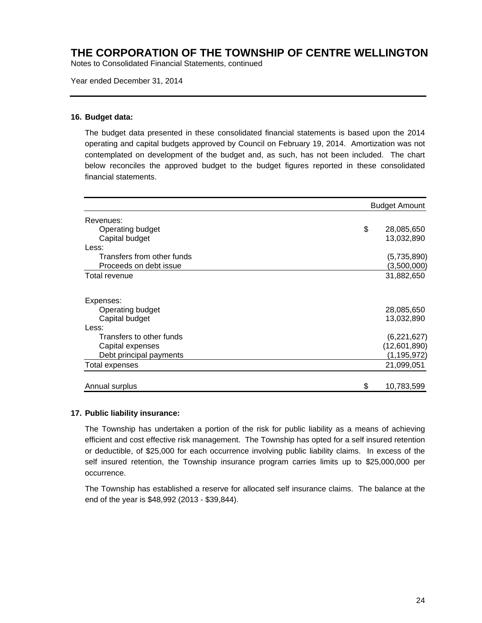Notes to Consolidated Financial Statements, continued

Year ended December 31, 2014

#### **16. Budget data:**

The budget data presented in these consolidated financial statements is based upon the 2014 operating and capital budgets approved by Council on February 19, 2014. Amortization was not contemplated on development of the budget and, as such, has not been included. The chart below reconciles the approved budget to the budget figures reported in these consolidated financial statements.

|                            | <b>Budget Amount</b> |
|----------------------------|----------------------|
| Revenues:                  |                      |
| Operating budget           | \$<br>28,085,650     |
| Capital budget             | 13,032,890           |
| Less:                      |                      |
| Transfers from other funds | (5,735,890)          |
| Proceeds on debt issue     | (3,500,000)          |
| Total revenue              | 31,882,650           |
| Expenses:                  |                      |
| Operating budget           | 28,085,650           |
| Capital budget             | 13,032,890           |
| Less:                      |                      |
| Transfers to other funds   | (6,221,627)          |
| Capital expenses           | (12,601,890)         |
| Debt principal payments    | (1, 195, 972)        |
| <b>Total expenses</b>      | 21,099,051           |
| Annual surplus             | 10,783,599<br>S      |

#### **17. Public liability insurance:**

The Township has undertaken a portion of the risk for public liability as a means of achieving efficient and cost effective risk management. The Township has opted for a self insured retention or deductible, of \$25,000 for each occurrence involving public liability claims. In excess of the self insured retention, the Township insurance program carries limits up to \$25,000,000 per occurrence.

The Township has established a reserve for allocated self insurance claims. The balance at the end of the year is \$48,992 (2013 - \$39,844).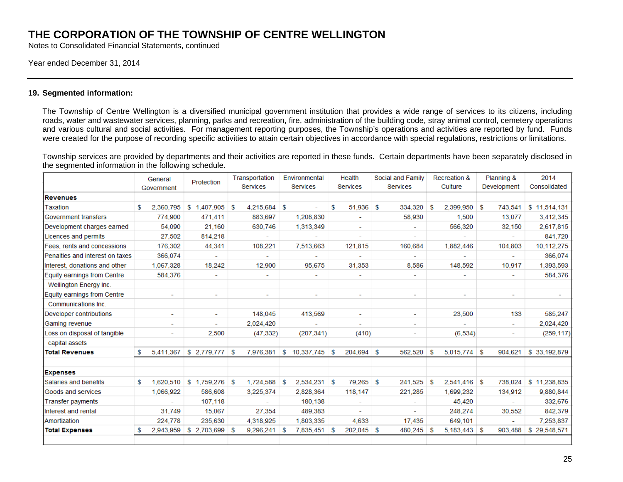Notes to Consolidated Financial Statements, continued

#### Year ended December 31, 2014

#### **19. Segmented information:**

The Township of Centre Wellington is a diversified municipal government institution that provides a wide range of services to its citizens, including roads, water and wastewater services, planning, parks and recreation, fire, administration of the building code, stray animal control, cemetery operations and various cultural and social activities. For management reporting purposes, the Township's operations and activities are reported by fund. Funds were created for the purpose of recording specific activities to attain certain objectives in accordance with special regulations, restrictions or limitations.

Township services are provided by departments and their activities are reported in these funds. Certain departments have been separately disclosed in the segmented information in the following schedule.

|                                 | General                  | Protection        | Transportation           | Environmental            | <b>Health</b>     | Social and Family | Recreation &             | Planning &               | 2014         |
|---------------------------------|--------------------------|-------------------|--------------------------|--------------------------|-------------------|-------------------|--------------------------|--------------------------|--------------|
|                                 | Government               |                   | <b>Services</b>          | <b>Services</b>          | <b>Services</b>   | <b>Services</b>   | Culture                  | Development              | Consolidated |
| <b>Revenues</b>                 |                          |                   |                          |                          |                   |                   |                          |                          |              |
| Taxation                        | 2,360,795<br>S           | $$1,407,905$ \$   | $4.215.684$ \$           |                          | \$<br>$51.936$ \$ | 334,320           | 2,399,950 \$<br>-S       | 743,541                  | \$11,514,131 |
| Government transfers            | 774.900                  | 471,411           | 883,697                  | 1,208,830                |                   | 58,930            | 1,500                    | 13,077                   | 3,412,345    |
| Development charges earned      | 54.090                   | 21,160            | 630,746                  | 1,313,349                | ۰                 | ٠                 | 566,320                  | 32,150                   | 2,617,815    |
| Licences and permits            | 27.502                   | 814,218           |                          |                          |                   |                   |                          |                          | 841.720      |
| Fees, rents and concessions     | 176,302                  | 44,341            | 108,221                  | 7.513.663                | 121.815           | 160,684           | 1.882.446                | 104,803                  | 10.112.275   |
| Penalties and interest on taxes | 366,074                  |                   |                          |                          |                   |                   |                          | $\overline{a}$           | 366.074      |
| Interest, donations and other   | 1,067,328                | 18,242            | 12,900                   | 95,675                   | 31,353            | 8,586             | 148,592                  | 10,917                   | 1,393,593    |
| Equity earnings from Centre     | 584,376                  | ۰                 |                          |                          |                   | ۰                 | ۰                        | ٠                        | 584,376      |
| Wellington Energy Inc.          |                          |                   |                          |                          |                   |                   |                          |                          |              |
| Equity earnings from Centre     | $\overline{\phantom{a}}$ | ۰                 | $\overline{\phantom{a}}$ | $\overline{\phantom{a}}$ | ۰                 | ۰                 | $\overline{\phantom{0}}$ | $\overline{\phantom{a}}$ |              |
| Communications Inc.             |                          |                   |                          |                          |                   |                   |                          |                          |              |
| Developer contributions         | ٠                        | ٠                 | 148,045                  | 413,569                  | ٠                 | ۰                 | 23,500                   | 133                      | 585.247      |
| Gaming revenue                  | ٠                        |                   | 2,024,420                |                          |                   | ٠                 |                          | ٠                        | 2,024,420    |
| Loss on disposal of tangible    | ٠                        | 2,500             | (47, 332)                | (207, 341)               | (410)             | ٠                 | (6, 534)                 | ٠                        | (259, 117)   |
| capital assets                  |                          |                   |                          |                          |                   |                   |                          |                          |              |
| <b>Total Revenues</b>           | \$<br>5,411,367          | $$2,779,777$ \\$  | 7,976,381                | 10,337,745 \$<br>S.      | $204.694$ \$      | 562,520 \$        | $5.015.774$ \$           | 904,621                  | \$33,192,879 |
| <b>Expenses</b>                 |                          |                   |                          |                          |                   |                   |                          |                          |              |
| Salaries and benefits           | S<br>1.620.510           | $$1.759.276$ \ \$ | 1.724.588                | 2.534.231 \$<br>\$       | 79.265            | 241.525<br>- \$   | $2.541.416$ \$<br>-S     | 738.024                  | \$11,238,835 |
| Goods and services              | 1.066.922                | 586,608           | 3.225.374                | 2.828.364                | 118,147           | 221.285           | 1,699,232                | 134,912                  | 9,880,844    |
| <b>Transfer payments</b>        |                          | 107,118           |                          | 180,138                  |                   |                   | 45,420                   |                          | 332,676      |
| Interest and rental             | 31,749                   | 15,067            | 27,354                   | 489,383                  |                   | ۰                 | 248,274                  | 30,552                   | 842,379      |
| Amortization                    | 224,778                  | 235.630           | 4,318,925                | 1,803,335                | 4.633             | 17,435            | 649,101                  | ٠                        | 7,253,837    |
| <b>Total Expenses</b>           | 2,943,959<br>S           | $$2,703,699$ \ \$ | $9,296,241$ \$           | $7,835,451$ \$           | 202,045 \$        | $480.245$ \$      | $5,183,443$ \$           | 903,488                  | \$29,548,571 |
|                                 |                          |                   |                          |                          |                   |                   |                          |                          |              |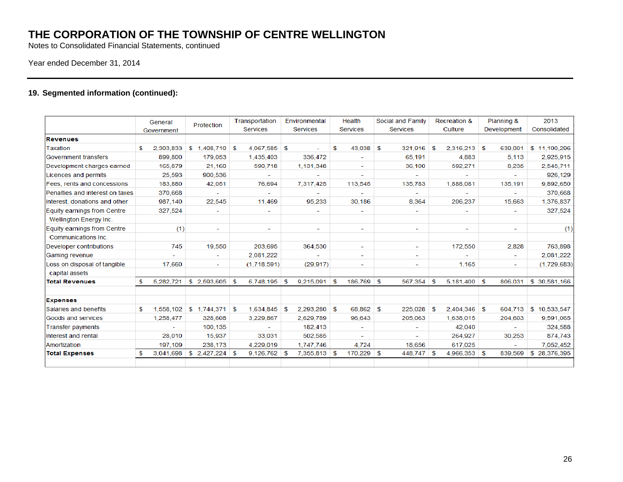Notes to Consolidated Financial Statements, continued

### **19. Segmented information (continued):**

|                                 | General |           | Government               |     |                          |     | Protection   |      | Transportation<br><b>Services</b> |      | Environmental<br><b>Services</b> |    | Health<br><b>Services</b> |    | Social and Family<br><b>Services</b> |               | <b>Recreation &amp;</b><br>Culture |  | Planning &<br>Development | 2013<br>Consolidated |
|---------------------------------|---------|-----------|--------------------------|-----|--------------------------|-----|--------------|------|-----------------------------------|------|----------------------------------|----|---------------------------|----|--------------------------------------|---------------|------------------------------------|--|---------------------------|----------------------|
|                                 |         |           |                          |     |                          |     |              |      |                                   |      |                                  |    |                           |    |                                      |               |                                    |  |                           |                      |
| <b>Revenues</b>                 |         |           |                          |     |                          |     |              |      |                                   |      |                                  |    |                           |    |                                      |               |                                    |  |                           |                      |
| Taxation                        | \$      | 2.303.833 | $$1,408,710$ \$          |     | 4.067.585                | S   |              | S.   | 43,038                            | S    | 321.916                          | -S | 2.316.213                 | -S | 639,001                              | \$11,100,296  |                                    |  |                           |                      |
| Government transfers            |         | 899.800   | 179,053                  |     | 1,435,403                |     | 336,472      |      |                                   |      | 65.191                           |    | 4,883                     |    | 5,113                                | 2,925,915     |                                    |  |                           |                      |
| Development charges earned      |         | 165,879   | 21,160                   |     | 590,718                  |     | 1,131,348    |      | ٠                                 |      | 36,100                           |    | 592,271                   |    | 8,235                                | 2,545,711     |                                    |  |                           |                      |
| Licences and permits            |         | 25,593    | 900,536                  |     |                          |     |              |      | ۰                                 |      |                                  |    |                           |    |                                      | 926,129       |                                    |  |                           |                      |
| Fees, rents and concessions     |         | 183,880   | 42,051                   |     | 76.694                   |     | 7.317.425    |      | 113,545                           |      | 135,783                          |    | 1.888.081                 |    | 135,191                              | 9,892,650     |                                    |  |                           |                      |
| Penalties and interest on taxes |         | 370,668   |                          |     |                          |     |              |      |                                   |      |                                  |    |                           |    |                                      | 370.668       |                                    |  |                           |                      |
| Interest, donations and other   |         | 987,140   | 22,545                   |     | 11,469                   |     | 95,233       |      | 30,186                            |      | 8,364                            |    | 206,237                   |    | 15,663                               | 1,376,837     |                                    |  |                           |                      |
| Equity earnings from Centre     |         | 327.524   | ۰                        |     | $\overline{\phantom{a}}$ |     | ۰            |      | ۰                                 |      | ۰                                |    | $\overline{\phantom{a}}$  |    | $\overline{\phantom{0}}$             | 327,524       |                                    |  |                           |                      |
| Wellington Energy Inc.          |         |           |                          |     |                          |     |              |      |                                   |      |                                  |    |                           |    |                                      |               |                                    |  |                           |                      |
| Equity earnings from Centre     |         | (1)       | $\overline{\phantom{a}}$ |     | $\sim$                   |     | ÷            |      | ٠                                 |      | $\overline{\phantom{a}}$         |    | ÷                         |    | $\overline{\phantom{a}}$             | (1)           |                                    |  |                           |                      |
| Communications Inc.             |         |           |                          |     |                          |     |              |      |                                   |      |                                  |    |                           |    |                                      |               |                                    |  |                           |                      |
| Developer contributions         |         | 745       | 19,550                   |     | 203.695                  |     | 364,530      |      | $\overline{\phantom{a}}$          |      | $\overline{\phantom{a}}$         |    | 172,550                   |    | 2,828                                | 763,898       |                                    |  |                           |                      |
| <b>Gaming revenue</b>           |         |           |                          |     | 2.081.222                |     |              |      | $\overline{\phantom{0}}$          |      | $\overline{\phantom{a}}$         |    |                           |    | $\sim$                               | 2.081.222     |                                    |  |                           |                      |
| Loss on disposal of tangible    |         | 17,660    | $\sim$                   |     | (1,718,591)              |     | (29, 917)    |      | ۰                                 |      | ۰                                |    | 1.165                     |    | $\sim$                               | (1,729,683)   |                                    |  |                           |                      |
| capital assets                  |         |           |                          |     |                          |     |              |      |                                   |      |                                  |    |                           |    |                                      |               |                                    |  |                           |                      |
| <b>Total Revenues</b>           | £.      | 5.282.721 | \$2.593,605              | - S | 6.748.195                | S   | 9.215.091    | - \$ | 186,769                           | - \$ | 567.354                          | S  | $5,181,400$ \$            |    | 806.031                              | \$ 30,581,166 |                                    |  |                           |                      |
| <b>Expenses</b>                 |         |           |                          |     |                          |     |              |      |                                   |      |                                  |    |                           |    |                                      |               |                                    |  |                           |                      |
| Salaries and benefits           | S       | 1,558,102 | \$1,744,371              | -S  | 1,634,845                | \$. | 2,293,280    | - \$ | 68.862                            | -S   | 225.028                          | £. | $2,404,346$ \$            |    | 604.713                              | \$10,533,547  |                                    |  |                           |                      |
| Goods and services              |         | 1,258,477 | 328,608                  |     | 3,229,867                |     | 2.629.789    |      | 96,643                            |      | 205,063                          |    | 1,638,015                 |    | 204,603                              | 9,591,065     |                                    |  |                           |                      |
| <b>Transfer payments</b>        |         |           | 100.135                  |     |                          |     | 182.413      |      |                                   |      |                                  |    | 42,040                    |    |                                      | 324.588       |                                    |  |                           |                      |
| Interest and rental             |         | 28,010    | 15,937                   |     | 33.031                   |     | 502.585      |      | ÷                                 |      | ÷                                |    | 264.927                   |    | 30,253                               | 874.743       |                                    |  |                           |                      |
| Amortization                    |         | 197.109   | 238,173                  |     | 4,229,019                |     | 1.747.746    |      | 4,724                             |      | 18.656                           |    | 617,025                   |    | ٠                                    | 7,052,452     |                                    |  |                           |                      |
| <b>Total Expenses</b>           | S       | 3.041.698 |                          |     | $9,126,762$ \$           |     | 7,355,813 \$ |      | $170,229$ \$                      |      | 448,747 \$                       |    | 4,966,353 \$              |    | 839,569                              | \$28,376,395  |                                    |  |                           |                      |
|                                 |         |           |                          |     |                          |     |              |      |                                   |      |                                  |    |                           |    |                                      |               |                                    |  |                           |                      |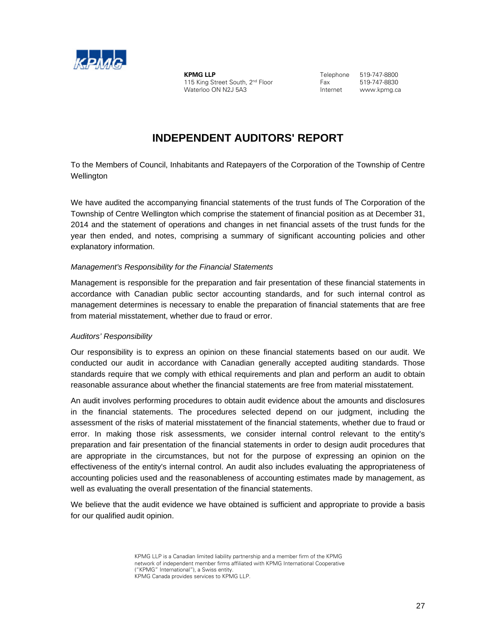

**KPMG LLP** Telephone 519-747-8800 115 King Street South, 2<sup>nd</sup> Floor Fax 519-747-8830<br>
Waterloo ON N2J 5A3 **Fax** Floor Face Theories Historian Www.koma.ca Waterloo ON N2J 5A3 Internet www.kpmg.ca

# **INDEPENDENT AUDITORS' REPORT**

To the Members of Council, Inhabitants and Ratepayers of the Corporation of the Township of Centre **Wellington** 

We have audited the accompanying financial statements of the trust funds of The Corporation of the Township of Centre Wellington which comprise the statement of financial position as at December 31, 2014 and the statement of operations and changes in net financial assets of the trust funds for the year then ended, and notes, comprising a summary of significant accounting policies and other explanatory information.

### *Management's Responsibility for the Financial Statements*

Management is responsible for the preparation and fair presentation of these financial statements in accordance with Canadian public sector accounting standards, and for such internal control as management determines is necessary to enable the preparation of financial statements that are free from material misstatement, whether due to fraud or error.

### *Auditors' Responsibility*

Our responsibility is to express an opinion on these financial statements based on our audit. We conducted our audit in accordance with Canadian generally accepted auditing standards. Those standards require that we comply with ethical requirements and plan and perform an audit to obtain reasonable assurance about whether the financial statements are free from material misstatement.

An audit involves performing procedures to obtain audit evidence about the amounts and disclosures in the financial statements. The procedures selected depend on our judgment, including the assessment of the risks of material misstatement of the financial statements, whether due to fraud or error. In making those risk assessments, we consider internal control relevant to the entity's preparation and fair presentation of the financial statements in order to design audit procedures that are appropriate in the circumstances, but not for the purpose of expressing an opinion on the effectiveness of the entity's internal control. An audit also includes evaluating the appropriateness of accounting policies used and the reasonableness of accounting estimates made by management, as well as evaluating the overall presentation of the financial statements.

We believe that the audit evidence we have obtained is sufficient and appropriate to provide a basis for our qualified audit opinion.

> KPMG LLP is a Canadian limited liability partnership and a member firm of the KPMG network of independent member firms affiliated with KPMG International Cooperative ("KPMG" International"), a Swiss entity. KPMG Canada provides services to KPMG LLP.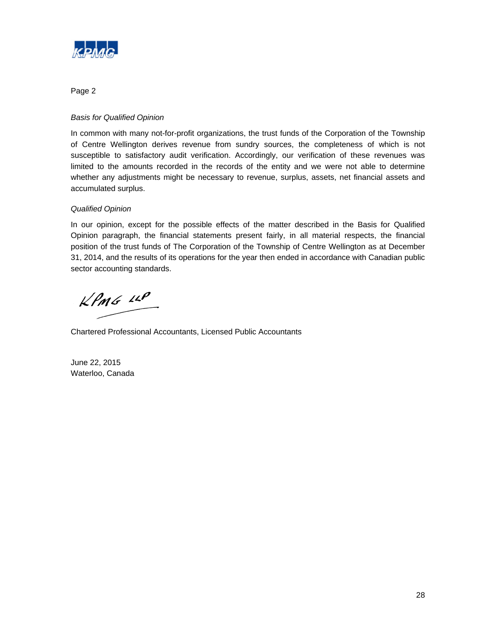

Page 2

### *Basis for Qualified Opinion*

In common with many not-for-profit organizations, the trust funds of the Corporation of the Township of Centre Wellington derives revenue from sundry sources, the completeness of which is not susceptible to satisfactory audit verification. Accordingly, our verification of these revenues was limited to the amounts recorded in the records of the entity and we were not able to determine whether any adjustments might be necessary to revenue, surplus, assets, net financial assets and accumulated surplus.

### *Qualified Opinion*

In our opinion, except for the possible effects of the matter described in the Basis for Qualified Opinion paragraph, the financial statements present fairly, in all material respects, the financial position of the trust funds of The Corporation of the Township of Centre Wellington as at December 31, 2014, and the results of its operations for the year then ended in accordance with Canadian public sector accounting standards.

 $k$ *PMG*  $\mu$ 

Chartered Professional Accountants, Licensed Public Accountants

June 22, 2015 Waterloo, Canada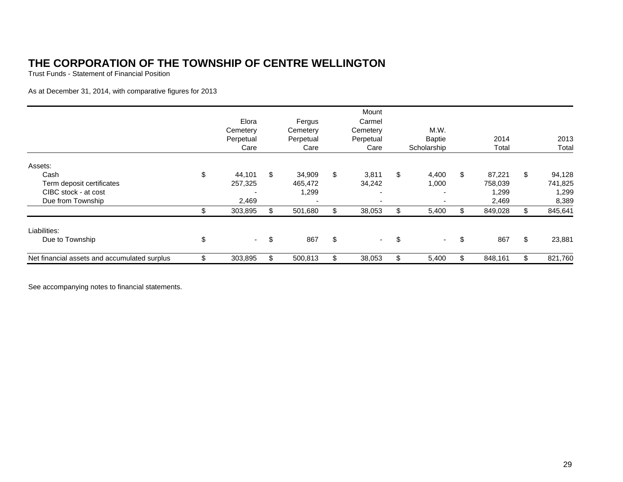Trust Funds - Statement of Financial Position

As at December 31, 2014, with comparative figures for 2013

|                                              | Elora<br>Cemetery<br>Perpetual |    | Fergus<br>Cemetery<br>Perpetual | Mount<br>Carmel<br>Cemetery<br>Perpetual | M.W.<br><b>Baptie</b> |    | 2014    | 2013          |
|----------------------------------------------|--------------------------------|----|---------------------------------|------------------------------------------|-----------------------|----|---------|---------------|
|                                              | Care                           |    | Care                            | Care                                     | Scholarship           |    | Total   | Total         |
| Assets:                                      |                                |    |                                 |                                          |                       |    |         |               |
| Cash                                         | \$<br>44,101                   | \$ | 34,909                          | \$<br>3,811                              | \$<br>4,400           | \$ | 87.221  | \$<br>94,128  |
| Term deposit certificates                    | 257,325                        |    | 465,472                         | 34,242                                   | 1,000                 |    | 758,039 | 741,825       |
| CIBC stock - at cost                         |                                |    | 1,299                           | $\overline{\phantom{a}}$                 |                       |    | 1,299   | 1,299         |
| Due from Township                            | 2,469                          |    |                                 | $\overline{\phantom{0}}$                 |                       |    | 2,469   | 8,389         |
|                                              | 303,895                        | S  | 501,680                         | \$<br>38,053                             | 5,400                 | Ъ  | 849,028 | \$<br>845,641 |
| Liabilities:                                 |                                |    |                                 |                                          |                       |    |         |               |
| Due to Township                              | \$<br>$\sim$                   | \$ | 867                             | \$<br>$\sim$                             | \$<br>$\sim$          | \$ | 867     | \$<br>23,881  |
| Net financial assets and accumulated surplus | 303,895                        | \$ | 500,813                         | \$<br>38,053                             | 5,400                 | \$ | 848,161 | \$<br>821,760 |

See accompanying notes to financial statements.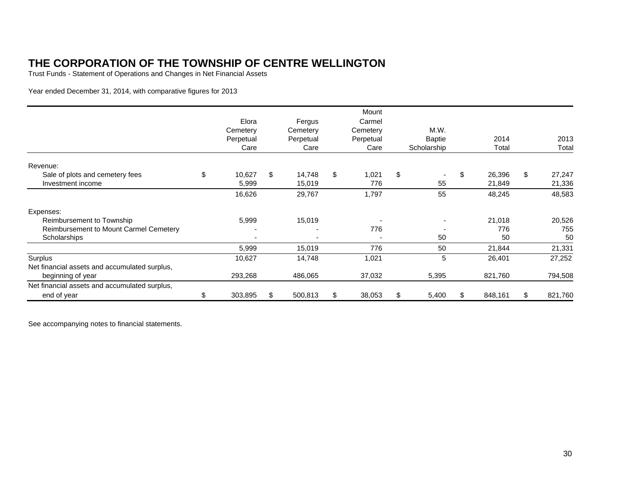Trust Funds - Statement of Operations and Changes in Net Financial Assets

Year ended December 31, 2014, with comparative figures for 2013

|                                               |               |               | Mount        |               |               |               |
|-----------------------------------------------|---------------|---------------|--------------|---------------|---------------|---------------|
|                                               | Elora         | Fergus        | Carmel       |               |               |               |
|                                               | Cemetery      | Cemetery      | Cemetery     | M.W.          |               |               |
|                                               | Perpetual     | Perpetual     | Perpetual    | <b>Baptie</b> | 2014          | 2013          |
|                                               | Care          | Care          | Care         | Scholarship   | Total         | Total         |
| Revenue:                                      |               |               |              |               |               |               |
| Sale of plots and cemetery fees               | \$<br>10,627  | \$<br>14,748  | \$<br>1,021  | \$            | \$<br>26,396  | \$<br>27,247  |
| Investment income                             | 5,999         | 15,019        | 776          | 55            | 21,849        | 21,336        |
|                                               | 16,626        | 29,767        | 1,797        | 55            | 48,245        | 48,583        |
| Expenses:                                     |               |               |              |               |               |               |
| Reimbursement to Township                     | 5,999         | 15,019        |              |               | 21,018        | 20,526        |
| <b>Reimbursement to Mount Carmel Cemetery</b> |               |               | 776          |               | 776           | 755           |
| Scholarships                                  |               |               |              | 50            | 50            | 50            |
|                                               | 5,999         | 15,019        | 776          | 50            | 21,844        | 21,331        |
| Surplus                                       | 10,627        | 14,748        | 1,021        | 5             | 26,401        | 27,252        |
| Net financial assets and accumulated surplus, |               |               |              |               |               |               |
| beginning of year                             | 293,268       | 486,065       | 37,032       | 5,395         | 821,760       | 794,508       |
| Net financial assets and accumulated surplus, |               |               |              |               |               |               |
| end of year                                   | \$<br>303,895 | \$<br>500,813 | \$<br>38,053 | \$<br>5,400   | \$<br>848,161 | \$<br>821,760 |

See accompanying notes to financial statements.